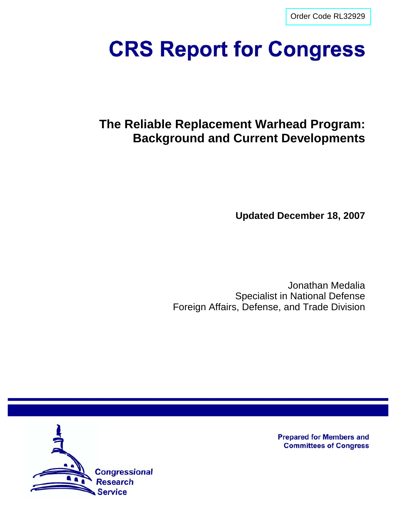[Order Code RL32929](http://www.fas.org/sgp/crs/nuke/index.html)

# **CRS Report for Congress**

# **The Reliable Replacement Warhead Program: Background and Current Developments**

**Updated December 18, 2007**

Jonathan Medalia Specialist in National Defense Foreign Affairs, Defense, and Trade Division



**Prepared for Members and Committees of Congress**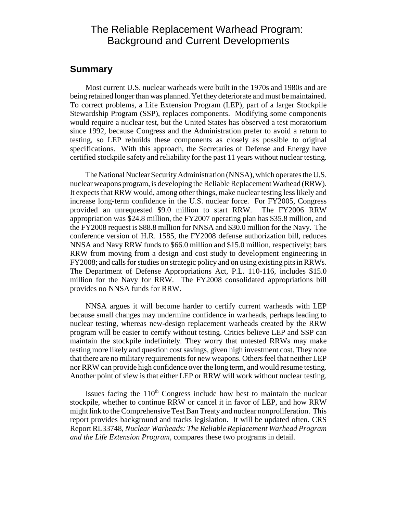# The Reliable Replacement Warhead Program: Background and Current Developments

### **Summary**

Most current U.S. nuclear warheads were built in the 1970s and 1980s and are being retained longer than was planned. Yet they deteriorate and must be maintained. To correct problems, a Life Extension Program (LEP), part of a larger Stockpile Stewardship Program (SSP), replaces components. Modifying some components would require a nuclear test, but the United States has observed a test moratorium since 1992, because Congress and the Administration prefer to avoid a return to testing, so LEP rebuilds these components as closely as possible to original specifications. With this approach, the Secretaries of Defense and Energy have certified stockpile safety and reliability for the past 11 years without nuclear testing.

The National Nuclear Security Administration (NNSA), which operates the U.S. nuclear weapons program, is developing the Reliable Replacement Warhead (RRW). It expects that RRW would, among other things, make nuclear testing less likely and increase long-term confidence in the U.S. nuclear force. For FY2005, Congress provided an unrequested \$9.0 million to start RRW. The FY2006 RRW appropriation was \$24.8 million, the FY2007 operating plan has \$35.8 million, and the FY2008 request is \$88.8 million for NNSA and \$30.0 million for the Navy. The conference version of H.R. 1585, the FY2008 defense authorization bill, reduces NNSA and Navy RRW funds to \$66.0 million and \$15.0 million, respectively; bars RRW from moving from a design and cost study to development engineering in FY2008; and calls for studies on strategic policy and on using existing pits in RRWs. The Department of Defense Appropriations Act, P.L. 110-116, includes \$15.0 million for the Navy for RRW. The FY2008 consolidated appropriations bill provides no NNSA funds for RRW.

NNSA argues it will become harder to certify current warheads with LEP because small changes may undermine confidence in warheads, perhaps leading to nuclear testing, whereas new-design replacement warheads created by the RRW program will be easier to certify without testing. Critics believe LEP and SSP can maintain the stockpile indefinitely. They worry that untested RRWs may make testing more likely and question cost savings, given high investment cost. They note that there are no military requirements for new weapons. Others feel that neither LEP nor RRW can provide high confidence over the long term, and would resume testing. Another point of view is that either LEP or RRW will work without nuclear testing.

Issues facing the  $110<sup>th</sup>$  Congress include how best to maintain the nuclear stockpile, whether to continue RRW or cancel it in favor of LEP, and how RRW might link to the Comprehensive Test Ban Treaty and nuclear nonproliferation. This report provides background and tracks legislation. It will be updated often. CRS Report RL33748, *Nuclear Warheads: The Reliable Replacement Warhead Program and the Life Extension Program,* compares these two programs in detail.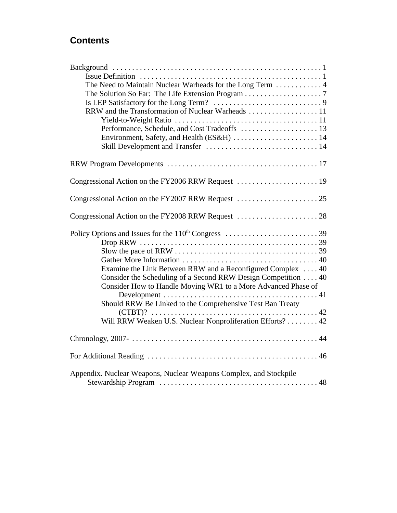# **Contents**

| The Need to Maintain Nuclear Warheads for the Long Term  4                                                     |
|----------------------------------------------------------------------------------------------------------------|
|                                                                                                                |
|                                                                                                                |
| RRW and the Transformation of Nuclear Warheads  11                                                             |
| Yield-to-Weight Ratio $\ldots \ldots \ldots \ldots \ldots \ldots \ldots \ldots \ldots \ldots \ldots \ldots 11$ |
| Performance, Schedule, and Cost Tradeoffs  13                                                                  |
|                                                                                                                |
|                                                                                                                |
|                                                                                                                |
|                                                                                                                |
|                                                                                                                |
|                                                                                                                |
|                                                                                                                |
|                                                                                                                |
|                                                                                                                |
|                                                                                                                |
|                                                                                                                |
| Examine the Link Between RRW and a Reconfigured Complex  40                                                    |
| Consider the Scheduling of a Second RRW Design Competition 40                                                  |
| Consider How to Handle Moving WR1 to a More Advanced Phase of                                                  |
|                                                                                                                |
| Should RRW Be Linked to the Comprehensive Test Ban Treaty                                                      |
|                                                                                                                |
| Will RRW Weaken U.S. Nuclear Nonproliferation Efforts? 42                                                      |
|                                                                                                                |
|                                                                                                                |
| Appendix. Nuclear Weapons, Nuclear Weapons Complex, and Stockpile                                              |
|                                                                                                                |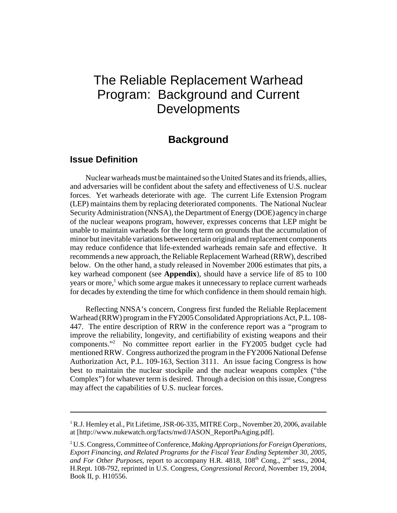# The Reliable Replacement Warhead Program: Background and Current **Developments**

## **Background**

### **Issue Definition**

Nuclear warheads must be maintained so the United States and its friends, allies, and adversaries will be confident about the safety and effectiveness of U.S. nuclear forces. Yet warheads deteriorate with age. The current Life Extension Program (LEP) maintains them by replacing deteriorated components. The National Nuclear Security Administration (NNSA), the Department of Energy (DOE) agency in charge of the nuclear weapons program, however, expresses concerns that LEP might be unable to maintain warheads for the long term on grounds that the accumulation of minor but inevitable variations between certain original and replacement components may reduce confidence that life-extended warheads remain safe and effective. It recommends a new approach, the Reliable Replacement Warhead (RRW), described below. On the other hand, a study released in November 2006 estimates that pits, a key warhead component (see **Appendix**), should have a service life of 85 to 100 years or more,<sup>1</sup> which some argue makes it unnecessary to replace current warheads for decades by extending the time for which confidence in them should remain high.

Reflecting NNSA's concern, Congress first funded the Reliable Replacement Warhead (RRW) program in the FY2005 Consolidated Appropriations Act, P.L. 108- 447. The entire description of RRW in the conference report was a "program to improve the reliability, longevity, and certifiability of existing weapons and their components."2 No committee report earlier in the FY2005 budget cycle had mentioned RRW. Congress authorized the program in the FY2006 National Defense Authorization Act, P.L. 109-163, Section 3111. An issue facing Congress is how best to maintain the nuclear stockpile and the nuclear weapons complex ("the Complex") for whatever term is desired. Through a decision on this issue, Congress may affect the capabilities of U.S. nuclear forces.

<sup>&</sup>lt;sup>1</sup> R.J. Hemley et al., Pit Lifetime, JSR-06-335, MITRE Corp., November 20, 2006, available at [http://www.nukewatch.org/facts/nwd/JASON\_ReportPuAging.pdf].

<sup>2</sup> U.S. Congress, Committee of Conference, *Making Appropriations for Foreign Operations, Export Financing, and Related Programs for the Fiscal Year Ending September 30, 2005, and For Other Purposes,* report to accompany H.R. 4818, 108<sup>th</sup> Cong., 2<sup>nd</sup> sess., 2004, H.Rept. 108-792, reprinted in U.S. Congress, *Congressional Record*, November 19, 2004, Book II, p. H10556.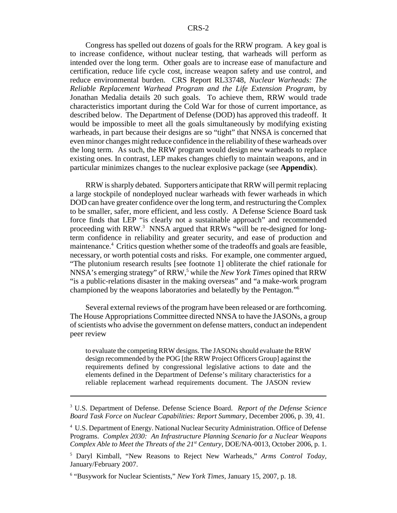Congress has spelled out dozens of goals for the RRW program. A key goal is to increase confidence, without nuclear testing, that warheads will perform as intended over the long term. Other goals are to increase ease of manufacture and certification, reduce life cycle cost, increase weapon safety and use control, and reduce environmental burden. CRS Report RL33748, *Nuclear Warheads: The Reliable Replacement Warhead Program and the Life Extension Program*, by Jonathan Medalia details 20 such goals. To achieve them, RRW would trade characteristics important during the Cold War for those of current importance, as described below. The Department of Defense (DOD) has approved this tradeoff. It would be impossible to meet all the goals simultaneously by modifying existing warheads, in part because their designs are so "tight" that NNSA is concerned that even minor changes might reduce confidence in the reliability of these warheads over the long term. As such, the RRW program would design new warheads to replace existing ones. In contrast, LEP makes changes chiefly to maintain weapons, and in particular minimizes changes to the nuclear explosive package (see **Appendix**).

RRW is sharply debated. Supporters anticipate that RRW will permit replacing a large stockpile of nondeployed nuclear warheads with fewer warheads in which DOD can have greater confidence over the long term, and restructuring the Complex to be smaller, safer, more efficient, and less costly. A Defense Science Board task force finds that LEP "is clearly not a sustainable approach" and recommended proceeding with RRW.<sup>3</sup> NNSA argued that RRWs "will be re-designed for longterm confidence in reliability and greater security, and ease of production and maintenance.<sup>4</sup> Critics question whether some of the tradeoffs and goals are feasible, necessary, or worth potential costs and risks. For example, one commenter argued, "The plutonium research results [see footnote 1] obliterate the chief rationale for NNSA's emerging strategy" of RRW,<sup>5</sup> while the *New York Times* opined that RRW "is a public-relations disaster in the making overseas" and "a make-work program championed by the weapons laboratories and belatedly by the Pentagon."6

Several external reviews of the program have been released or are forthcoming. The House Appropriations Committee directed NNSA to have the JASONs, a group of scientists who advise the government on defense matters, conduct an independent peer review

to evaluate the competing RRW designs. The JASONs should evaluate the RRW design recommended by the POG [the RRW Project Officers Group] against the requirements defined by congressional legislative actions to date and the elements defined in the Department of Defense's military characteristics for a reliable replacement warhead requirements document. The JASON review

<sup>3</sup> U.S. Department of Defense. Defense Science Board. *Report of the Defense Science Board Task Force on Nuclear Capabilities: Report Summary,* December 2006, p. 39, 41.

<sup>4</sup> U.S. Department of Energy. National Nuclear Security Administration. Office of Defense Programs. *Complex 2030: An Infrastructure Planning Scenario for a Nuclear Weapons Complex Able to Meet the Threats of the 21st Century,* DOE/NA-0013, October 2006, p. 1.

<sup>5</sup> Daryl Kimball, "New Reasons to Reject New Warheads," *Arms Control Today,* January/February 2007.

<sup>6</sup> "Busywork for Nuclear Scientists," *New York Times,* January 15, 2007, p. 18.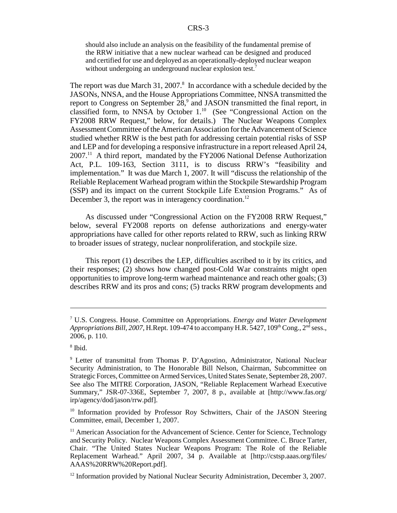should also include an analysis on the feasibility of the fundamental premise of the RRW initiative that a new nuclear warhead can be designed and produced and certified for use and deployed as an operationally-deployed nuclear weapon without undergoing an underground nuclear explosion test.<sup>7</sup>

The report was due March 31, 2007. $8$  In accordance with a schedule decided by the JASONs, NNSA, and the House Appropriations Committee, NNSA transmitted the report to Congress on September  $28$ , and JASON transmitted the final report, in classified form, to NNSA by October  $1.^{10}$  (See "Congressional Action on the FY2008 RRW Request," below, for details.) The Nuclear Weapons Complex Assessment Committee of the American Association for the Advancement of Science studied whether RRW is the best path for addressing certain potential risks of SSP and LEP and for developing a responsive infrastructure in a report released April 24, 2007.11 A third report, mandated by the FY2006 National Defense Authorization Act, P.L. 109-163, Section 3111, is to discuss RRW's "feasibility and implementation." It was due March 1, 2007. It will "discuss the relationship of the Reliable Replacement Warhead program within the Stockpile Stewardship Program (SSP) and its impact on the current Stockpile Life Extension Programs." As of December 3, the report was in interagency coordination.<sup>12</sup>

As discussed under "Congressional Action on the FY2008 RRW Request," below, several FY2008 reports on defense authorizations and energy-water appropriations have called for other reports related to RRW, such as linking RRW to broader issues of strategy, nuclear nonproliferation, and stockpile size.

This report (1) describes the LEP, difficulties ascribed to it by its critics, and their responses; (2) shows how changed post-Cold War constraints might open opportunities to improve long-term warhead maintenance and reach other goals; (3) describes RRW and its pros and cons; (5) tracks RRW program developments and

<sup>7</sup> U.S. Congress. House. Committee on Appropriations. *Energy and Water Development Appropriations Bill, 2007, H.Rept. 109-474 to accompany H.R. 5427, 109<sup>th</sup> Cong., 2<sup>nd</sup> sess.,* 2006, p. 110.

<sup>8</sup> Ibid.

<sup>&</sup>lt;sup>9</sup> Letter of transmittal from Thomas P. D'Agostino, Administrator, National Nuclear Security Administration, to The Honorable Bill Nelson, Chairman, Subcommittee on Strategic Forces, Committee on Armed Services, United States Senate, September 28, 2007. See also The MITRE Corporation, JASON, "Reliable Replacement Warhead Executive Summary," JSR-07-336E, September 7, 2007, 8 p., available at [http://www.fas.org/ irp/agency/dod/jason/rrw.pdf].

<sup>&</sup>lt;sup>10</sup> Information provided by Professor Roy Schwitters, Chair of the JASON Steering Committee, email, December 1, 2007.

 $11$  American Association for the Advancement of Science. Center for Science, Technology and Security Policy. Nuclear Weapons Complex Assessment Committee. C. Bruce Tarter, Chair. "The United States Nuclear Weapons Program: The Role of the Reliable Replacement Warhead." April 2007, 34 p. Available at [http://cstsp.aaas.org/files/ AAAS%20RRW%20Report.pdf].

 $12$  Information provided by National Nuclear Security Administration, December 3, 2007.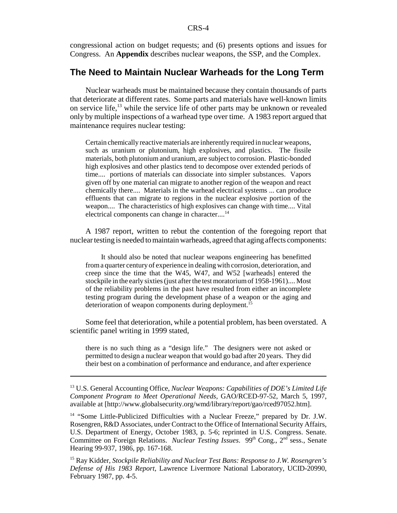congressional action on budget requests; and (6) presents options and issues for Congress. An **Appendix** describes nuclear weapons, the SSP, and the Complex.

### **The Need to Maintain Nuclear Warheads for the Long Term**

Nuclear warheads must be maintained because they contain thousands of parts that deteriorate at different rates. Some parts and materials have well-known limits on service life, $^{13}$  while the service life of other parts may be unknown or revealed only by multiple inspections of a warhead type over time. A 1983 report argued that maintenance requires nuclear testing:

Certain chemically reactive materials are inherently required in nuclear weapons, such as uranium or plutonium, high explosives, and plastics. The fissile materials, both plutonium and uranium, are subject to corrosion. Plastic-bonded high explosives and other plastics tend to decompose over extended periods of time.... portions of materials can dissociate into simpler substances. Vapors given off by one material can migrate to another region of the weapon and react chemically there.... Materials in the warhead electrical systems ... can produce effluents that can migrate to regions in the nuclear explosive portion of the weapon.... The characteristics of high explosives can change with time.... Vital electrical components can change in character....<sup>14</sup>

A 1987 report, written to rebut the contention of the foregoing report that nuclear testing is needed to maintain warheads, agreed that aging affects components:

It should also be noted that nuclear weapons engineering has benefitted from a quarter century of experience in dealing with corrosion, deterioration, and creep since the time that the W45, W47, and W52 [warheads] entered the stockpile in the early sixties (just after the test moratorium of 1958-1961).... Most of the reliability problems in the past have resulted from either an incomplete testing program during the development phase of a weapon or the aging and deterioration of weapon components during deployment.<sup>15</sup>

Some feel that deterioration, while a potential problem, has been overstated. A scientific panel writing in 1999 stated,

there is no such thing as a "design life." The designers were not asked or permitted to design a nuclear weapon that would go bad after 20 years. They did their best on a combination of performance and endurance, and after experience

<sup>13</sup> U.S. General Accounting Office, *Nuclear Weapons: Capabilities of DOE's Limited Life Component Program to Meet Operational Needs,* GAO/RCED-97-52, March 5, 1997, available at [http://www.globalsecurity.org/wmd/library/report/gao/rced97052.htm].

<sup>&</sup>lt;sup>14</sup> "Some Little-Publicized Difficulties with a Nuclear Freeze," prepared by Dr. J.W. Rosengren, R&D Associates, under Contract to the Office of International Security Affairs, U.S. Department of Energy, October 1983, p. 5-6; reprinted in U.S. Congress. Senate. Committee on Foreign Relations. *Nuclear Testing Issues*. 99<sup>th</sup> Cong., 2<sup>nd</sup> sess., Senate Hearing 99-937, 1986, pp. 167-168.

<sup>15</sup> Ray Kidder, *Stockpile Reliability and Nuclear Test Bans: Response to J.W. Rosengren's Defense of His 1983 Report*, Lawrence Livermore National Laboratory, UCID-20990, February 1987, pp. 4-5.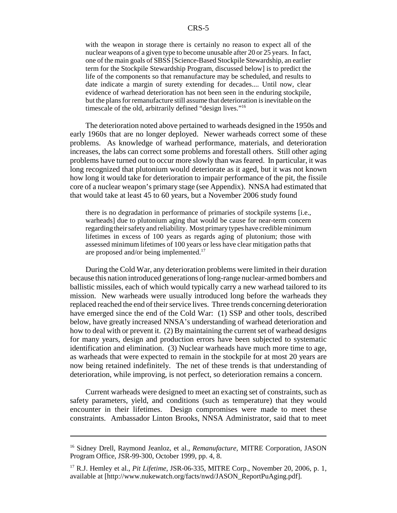with the weapon in storage there is certainly no reason to expect all of the nuclear weapons of a given type to become unusable after 20 or 25 years. In fact, one of the main goals of SBSS [Science-Based Stockpile Stewardship, an earlier term for the Stockpile Stewardship Program, discussed below] is to predict the life of the components so that remanufacture may be scheduled, and results to date indicate a margin of surety extending for decades.... Until now, clear evidence of warhead deterioration has not been seen in the enduring stockpile, but the plans for remanufacture still assume that deterioration is inevitable on the timescale of the old, arbitrarily defined "design lives."16

The deterioration noted above pertained to warheads designed in the 1950s and early 1960s that are no longer deployed. Newer warheads correct some of these problems. As knowledge of warhead performance, materials, and deterioration increases, the labs can correct some problems and forestall others. Still other aging problems have turned out to occur more slowly than was feared. In particular, it was long recognized that plutonium would deteriorate as it aged, but it was not known how long it would take for deterioration to impair performance of the pit, the fissile core of a nuclear weapon's primary stage (see Appendix). NNSA had estimated that that would take at least 45 to 60 years, but a November 2006 study found

there is no degradation in performance of primaries of stockpile systems [i.e., warheads] due to plutonium aging that would be cause for near-term concern regarding their safety and reliability. Most primary types have credible minimum lifetimes in excess of 100 years as regards aging of plutonium; those with assessed minimum lifetimes of 100 years or less have clear mitigation paths that are proposed and/or being implemented.17

During the Cold War, any deterioration problems were limited in their duration because this nation introduced generations of long-range nuclear-armed bombers and ballistic missiles, each of which would typically carry a new warhead tailored to its mission. New warheads were usually introduced long before the warheads they replaced reached the end of their service lives. Three trends concerning deterioration have emerged since the end of the Cold War: (1) SSP and other tools, described below, have greatly increased NNSA's understanding of warhead deterioration and how to deal with or prevent it. (2) By maintaining the current set of warhead designs for many years, design and production errors have been subjected to systematic identification and elimination. (3) Nuclear warheads have much more time to age, as warheads that were expected to remain in the stockpile for at most 20 years are now being retained indefinitely. The net of these trends is that understanding of deterioration, while improving, is not perfect, so deterioration remains a concern.

Current warheads were designed to meet an exacting set of constraints, such as safety parameters, yield, and conditions (such as temperature) that they would encounter in their lifetimes. Design compromises were made to meet these constraints. Ambassador Linton Brooks, NNSA Administrator, said that to meet

<sup>&</sup>lt;sup>16</sup> Sidney Drell, Raymond Jeanloz, et al., *Remanufacture*, MITRE Corporation, JASON Program Office, JSR-99-300, October 1999, pp. 4, 8.

<sup>17</sup> R.J. Hemley et al., *Pit Lifetime,* JSR-06-335, MITRE Corp., November 20, 2006, p. 1, available at [http://www.nukewatch.org/facts/nwd/JASON\_ReportPuAging.pdf].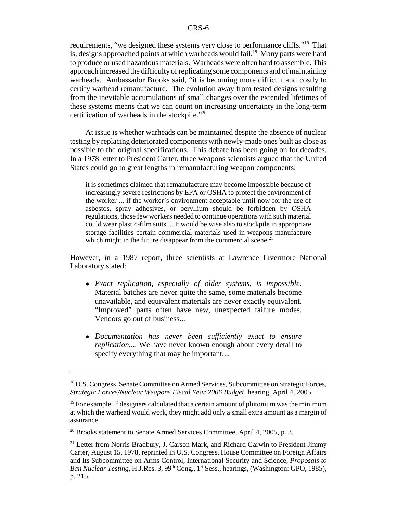requirements, "we designed these systems very close to performance cliffs."18 That is, designs approached points at which warheads would fail.<sup>19</sup> Many parts were hard to produce or used hazardous materials. Warheads were often hard to assemble. This approach increased the difficulty of replicating some components and of maintaining warheads. Ambassador Brooks said, "it is becoming more difficult and costly to certify warhead remanufacture. The evolution away from tested designs resulting from the inevitable accumulations of small changes over the extended lifetimes of these systems means that we can count on increasing uncertainty in the long-term certification of warheads in the stockpile."20

At issue is whether warheads can be maintained despite the absence of nuclear testing by replacing deteriorated components with newly-made ones built as close as possible to the original specifications. This debate has been going on for decades. In a 1978 letter to President Carter, three weapons scientists argued that the United States could go to great lengths in remanufacturing weapon components:

it is sometimes claimed that remanufacture may become impossible because of increasingly severe restrictions by EPA or OSHA to protect the environment of the worker ... if the worker's environment acceptable until now for the use of asbestos, spray adhesives, or beryllium should be forbidden by OSHA regulations, those few workers needed to continue operations with such material could wear plastic-film suits.... It would be wise also to stockpile in appropriate storage facilities certain commercial materials used in weapons manufacture which might in the future disappear from the commercial scene. $21$ 

However, in a 1987 report, three scientists at Lawrence Livermore National Laboratory stated:

- ! *Exact replication, especially of older systems, is impossible.* Material batches are never quite the same, some materials become unavailable, and equivalent materials are never exactly equivalent. "Improved" parts often have new, unexpected failure modes. Vendors go out of business...
- ! *Documentation has never been sufficiently exact to ensure replication.*... We have never known enough about every detail to specify everything that may be important....

<sup>&</sup>lt;sup>18</sup> U.S. Congress, Senate Committee on Armed Services, Subcommittee on Strategic Forces, *Strategic Forces/Nuclear Weapons Fiscal Year 2006 Budget*, hearing, April 4, 2005.

 $19$  For example, if designers calculated that a certain amount of plutonium was the minimum at which the warhead would work, they might add only a small extra amount as a margin of assurance.

<sup>&</sup>lt;sup>20</sup> Brooks statement to Senate Armed Services Committee, April 4, 2005, p. 3.

 $21$  Letter from Norris Bradbury, J. Carson Mark, and Richard Garwin to President Jimmy Carter, August 15, 1978, reprinted in U.S. Congress, House Committee on Foreign Affairs and Its Subcommittee on Arms Control, International Security and Science, *Proposals to* Ban Nuclear Testing, H.J.Res. 3, 99<sup>th</sup> Cong., 1<sup>st</sup> Sess., hearings, (Washington: GPO, 1985), p. 215.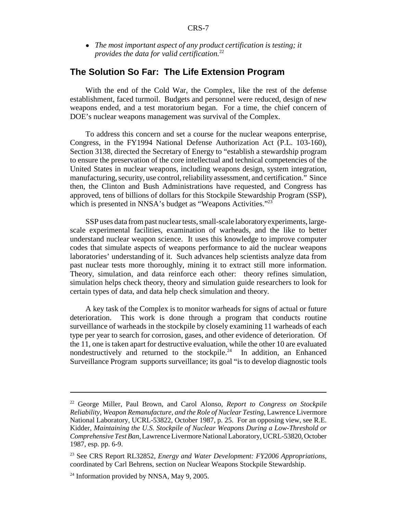! *The most important aspect of any product certification is testing; it provides the data for valid certification.*<sup>22</sup>

### **The Solution So Far: The Life Extension Program**

With the end of the Cold War, the Complex, like the rest of the defense establishment, faced turmoil. Budgets and personnel were reduced, design of new weapons ended, and a test moratorium began. For a time, the chief concern of DOE's nuclear weapons management was survival of the Complex.

To address this concern and set a course for the nuclear weapons enterprise, Congress, in the FY1994 National Defense Authorization Act (P.L. 103-160), Section 3138, directed the Secretary of Energy to "establish a stewardship program to ensure the preservation of the core intellectual and technical competencies of the United States in nuclear weapons, including weapons design, system integration, manufacturing, security, use control, reliability assessment, and certification." Since then, the Clinton and Bush Administrations have requested, and Congress has approved, tens of billions of dollars for this Stockpile Stewardship Program (SSP), which is presented in NNSA's budget as "Weapons Activities."<sup>23</sup>

SSP uses data from past nuclear tests, small-scale laboratory experiments, largescale experimental facilities, examination of warheads, and the like to better understand nuclear weapon science. It uses this knowledge to improve computer codes that simulate aspects of weapons performance to aid the nuclear weapons laboratories' understanding of it. Such advances help scientists analyze data from past nuclear tests more thoroughly, mining it to extract still more information. Theory, simulation, and data reinforce each other: theory refines simulation, simulation helps check theory, theory and simulation guide researchers to look for certain types of data, and data help check simulation and theory.

A key task of the Complex is to monitor warheads for signs of actual or future deterioration. This work is done through a program that conducts routine surveillance of warheads in the stockpile by closely examining 11 warheads of each type per year to search for corrosion, gases, and other evidence of deterioration. Of the 11, one is taken apart for destructive evaluation, while the other 10 are evaluated nondestructively and returned to the stockpile.24 In addition, an Enhanced Surveillance Program supports surveillance; its goal "is to develop diagnostic tools

<sup>22</sup> George Miller, Paul Brown, and Carol Alonso, *Report to Congress on Stockpile Reliability, Weapon Remanufacture, and the Role of Nuclear Testing,* Lawrence Livermore National Laboratory, UCRL-53822, October 1987, p. 25. For an opposing view, see R.E. Kidder, *Maintaining the U.S. Stockpile of Nuclear Weapons During a Low-Threshold or Comprehensive Test Ban*, Lawrence Livermore National Laboratory, UCRL-53820, October 1987, esp. pp. 6-9.

<sup>23</sup> See CRS Report RL32852, *Energy and Water Development: FY2006 Appropriations*, coordinated by Carl Behrens, section on Nuclear Weapons Stockpile Stewardship.

 $24$  Information provided by NNSA, May 9, 2005.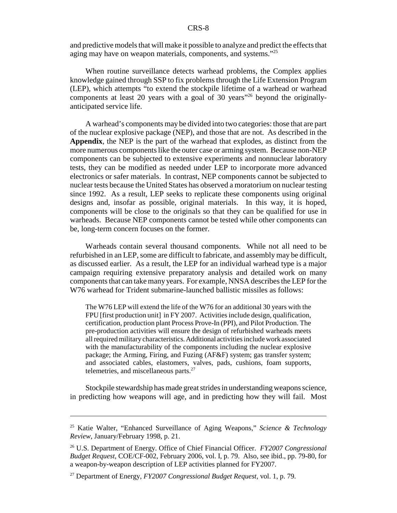and predictive models that will make it possible to analyze and predict the effects that aging may have on weapon materials, components, and systems."25

When routine surveillance detects warhead problems, the Complex applies knowledge gained through SSP to fix problems through the Life Extension Program (LEP), which attempts "to extend the stockpile lifetime of a warhead or warhead components at least 20 years with a goal of 30 years"26 beyond the originallyanticipated service life.

A warhead's components may be divided into two categories: those that are part of the nuclear explosive package (NEP), and those that are not. As described in the **Appendix**, the NEP is the part of the warhead that explodes, as distinct from the more numerous components like the outer case or arming system. Because non-NEP components can be subjected to extensive experiments and nonnuclear laboratory tests, they can be modified as needed under LEP to incorporate more advanced electronics or safer materials. In contrast, NEP components cannot be subjected to nuclear tests because the United States has observed a moratorium on nuclear testing since 1992. As a result, LEP seeks to replicate these components using original designs and, insofar as possible, original materials. In this way, it is hoped, components will be close to the originals so that they can be qualified for use in warheads. Because NEP components cannot be tested while other components can be, long-term concern focuses on the former.

Warheads contain several thousand components. While not all need to be refurbished in an LEP, some are difficult to fabricate, and assembly may be difficult, as discussed earlier. As a result, the LEP for an individual warhead type is a major campaign requiring extensive preparatory analysis and detailed work on many components that can take many years. For example, NNSA describes the LEP for the W76 warhead for Trident submarine-launched ballistic missiles as follows:

The W76 LEP will extend the life of the W76 for an additional 30 years with the FPU [first production unit] in FY 2007. Activities include design, qualification, certification, production plant Process Prove-In (PPI), and Pilot Production. The pre-production activities will ensure the design of refurbished warheads meets all required military characteristics. Additional activities include work associated with the manufacturability of the components including the nuclear explosive package; the Arming, Firing, and Fuzing (AF&F) system; gas transfer system; and associated cables, elastomers, valves, pads, cushions, foam supports, telemetries, and miscellaneous parts.<sup>27</sup>

Stockpile stewardship has made great strides in understanding weapons science, in predicting how weapons will age, and in predicting how they will fail. Most

<sup>25</sup> Katie Walter, "Enhanced Surveillance of Aging Weapons," *Science & Technology Review*, January/February 1998, p. 21.

<sup>26</sup> U.S. Department of Energy. Office of Chief Financial Officer. *FY2007 Congressional Budget Request*, COE/CF-002, February 2006, vol. I, p. 79. Also, see ibid., pp. 79-80, for a weapon-by-weapon description of LEP activities planned for FY2007.

<sup>27</sup> Department of Energy, *FY2007 Congressional Budget Request*, vol. 1, p. 79.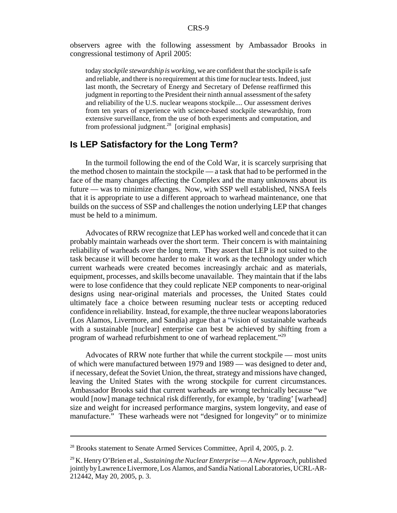observers agree with the following assessment by Ambassador Brooks in congressional testimony of April 2005:

today *stockpile stewardship is working*, we are confident that the stockpile is safe and reliable, and there is no requirement at this time for nuclear tests. Indeed, just last month, the Secretary of Energy and Secretary of Defense reaffirmed this judgment in reporting to the President their ninth annual assessment of the safety and reliability of the U.S. nuclear weapons stockpile.... Our assessment derives from ten years of experience with science-based stockpile stewardship, from extensive surveillance, from the use of both experiments and computation, and from professional judgment.<sup>28</sup> [original emphasis]

### **Is LEP Satisfactory for the Long Term?**

In the turmoil following the end of the Cold War, it is scarcely surprising that the method chosen to maintain the stockpile — a task that had to be performed in the face of the many changes affecting the Complex and the many unknowns about its future — was to minimize changes. Now, with SSP well established, NNSA feels that it is appropriate to use a different approach to warhead maintenance, one that builds on the success of SSP and challenges the notion underlying LEP that changes must be held to a minimum.

Advocates of RRW recognize that LEP has worked well and concede that it can probably maintain warheads over the short term. Their concern is with maintaining reliability of warheads over the long term. They assert that LEP is not suited to the task because it will become harder to make it work as the technology under which current warheads were created becomes increasingly archaic and as materials, equipment, processes, and skills become unavailable. They maintain that if the labs were to lose confidence that they could replicate NEP components to near-original designs using near-original materials and processes, the United States could ultimately face a choice between resuming nuclear tests or accepting reduced confidence in reliability. Instead, for example, the three nuclear weapons laboratories (Los Alamos, Livermore, and Sandia) argue that a "vision of sustainable warheads with a sustainable [nuclear] enterprise can best be achieved by shifting from a program of warhead refurbishment to one of warhead replacement."29

Advocates of RRW note further that while the current stockpile — most units of which were manufactured between 1979 and 1989 — was designed to deter and, if necessary, defeat the Soviet Union, the threat, strategy and missions have changed, leaving the United States with the wrong stockpile for current circumstances. Ambassador Brooks said that current warheads are wrong technically because "we would [now] manage technical risk differently, for example, by 'trading' [warhead] size and weight for increased performance margins, system longevity, and ease of manufacture." These warheads were not "designed for longevity" or to minimize

<sup>&</sup>lt;sup>28</sup> Brooks statement to Senate Armed Services Committee, April 4, 2005, p. 2.

<sup>29</sup> K. Henry O'Brien et al., *Sustaining the Nuclear Enterprise — A New Approach,* published jointly by Lawrence Livermore, Los Alamos, and Sandia National Laboratories, UCRL-AR-212442, May 20, 2005, p. 3.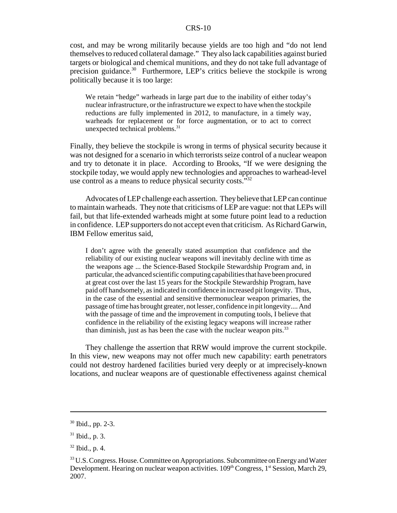cost, and may be wrong militarily because yields are too high and "do not lend themselves to reduced collateral damage." They also lack capabilities against buried targets or biological and chemical munitions, and they do not take full advantage of precision guidance.<sup>30</sup> Furthermore, LEP's critics believe the stockpile is wrong politically because it is too large:

We retain "hedge" warheads in large part due to the inability of either today's nuclear infrastructure, or the infrastructure we expect to have when the stockpile reductions are fully implemented in 2012, to manufacture, in a timely way, warheads for replacement or for force augmentation, or to act to correct unexpected technical problems.<sup>31</sup>

Finally, they believe the stockpile is wrong in terms of physical security because it was not designed for a scenario in which terrorists seize control of a nuclear weapon and try to detonate it in place. According to Brooks, "If we were designing the stockpile today, we would apply new technologies and approaches to warhead-level use control as a means to reduce physical security costs."32

Advocates of LEP challenge each assertion. They believe that LEP can continue to maintain warheads. They note that criticisms of LEP are vague: not that LEPs will fail, but that life-extended warheads might at some future point lead to a reduction in confidence. LEP supporters do not accept even that criticism. As Richard Garwin, IBM Fellow emeritus said,

I don't agree with the generally stated assumption that confidence and the reliability of our existing nuclear weapons will inevitably decline with time as the weapons age ... the Science-Based Stockpile Stewardship Program and, in particular, the advanced scientific computing capabilities that have been procured at great cost over the last 15 years for the Stockpile Stewardship Program, have paid off handsomely, as indicated in confidence in increased pit longevity. Thus, in the case of the essential and sensitive thermonuclear weapon primaries, the passage of time has brought greater, not lesser, confidence in pit longevity.... And with the passage of time and the improvement in computing tools, I believe that confidence in the reliability of the existing legacy weapons will increase rather than diminish, just as has been the case with the nuclear weapon pits. $33$ 

They challenge the assertion that RRW would improve the current stockpile. In this view, new weapons may not offer much new capability: earth penetrators could not destroy hardened facilities buried very deeply or at imprecisely-known locations, and nuclear weapons are of questionable effectiveness against chemical

<sup>30</sup> Ibid., pp. 2-3.

<sup>31</sup> Ibid., p. 3.

 $32$  Ibid., p. 4.

<sup>&</sup>lt;sup>33</sup> U.S. Congress. House. Committee on Appropriations. Subcommittee on Energy and Water Development. Hearing on nuclear weapon activities.  $109<sup>th</sup> Congress, 1<sup>st</sup> Session, March 29,$ 2007.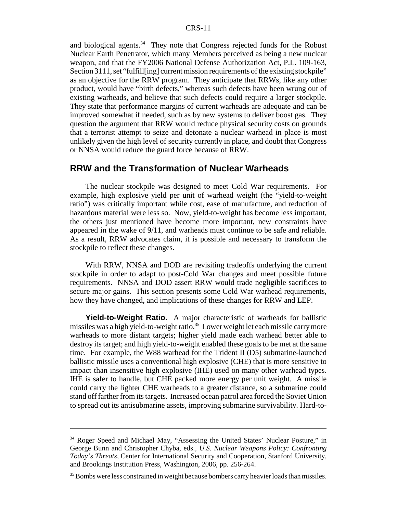and biological agents. $34$  They note that Congress rejected funds for the Robust Nuclear Earth Penetrator, which many Members perceived as being a new nuclear weapon, and that the FY2006 National Defense Authorization Act, P.L. 109-163, Section 3111, set "fulfill[ing] current mission requirements of the existing stockpile" as an objective for the RRW program. They anticipate that RRWs, like any other product, would have "birth defects," whereas such defects have been wrung out of existing warheads, and believe that such defects could require a larger stockpile. They state that performance margins of current warheads are adequate and can be improved somewhat if needed, such as by new systems to deliver boost gas. They question the argument that RRW would reduce physical security costs on grounds that a terrorist attempt to seize and detonate a nuclear warhead in place is most unlikely given the high level of security currently in place, and doubt that Congress or NNSA would reduce the guard force because of RRW.

### **RRW and the Transformation of Nuclear Warheads**

The nuclear stockpile was designed to meet Cold War requirements. For example, high explosive yield per unit of warhead weight (the "yield-to-weight ratio") was critically important while cost, ease of manufacture, and reduction of hazardous material were less so. Now, yield-to-weight has become less important, the others just mentioned have become more important, new constraints have appeared in the wake of 9/11, and warheads must continue to be safe and reliable. As a result, RRW advocates claim, it is possible and necessary to transform the stockpile to reflect these changes.

With RRW, NNSA and DOD are revisiting tradeoffs underlying the current stockpile in order to adapt to post-Cold War changes and meet possible future requirements. NNSA and DOD assert RRW would trade negligible sacrifices to secure major gains. This section presents some Cold War warhead requirements, how they have changed, and implications of these changes for RRW and LEP.

**Yield-to-Weight Ratio.** A major characteristic of warheads for ballistic missiles was a high yield-to-weight ratio.<sup>35</sup> Lower weight let each missile carry more warheads to more distant targets; higher yield made each warhead better able to destroy its target; and high yield-to-weight enabled these goals to be met at the same time. For example, the W88 warhead for the Trident II (D5) submarine-launched ballistic missile uses a conventional high explosive (CHE) that is more sensitive to impact than insensitive high explosive (IHE) used on many other warhead types. IHE is safer to handle, but CHE packed more energy per unit weight. A missile could carry the lighter CHE warheads to a greater distance, so a submarine could stand off farther from its targets. Increased ocean patrol area forced the Soviet Union to spread out its antisubmarine assets, improving submarine survivability. Hard-to-

<sup>&</sup>lt;sup>34</sup> Roger Speed and Michael May, "Assessing the United States' Nuclear Posture," in George Bunn and Christopher Chyba, eds., *U.S. Nuclear Weapons Policy: Confronting Today's Threats,* Center for International Security and Cooperation, Stanford University, and Brookings Institution Press, Washington, 2006, pp. 256-264.

<sup>&</sup>lt;sup>35</sup> Bombs were less constrained in weight because bombers carry heavier loads than missiles.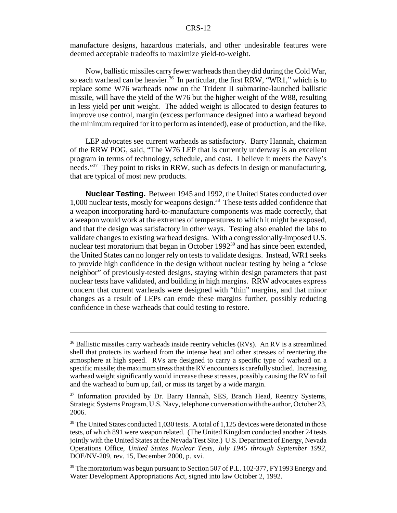manufacture designs, hazardous materials, and other undesirable features were deemed acceptable tradeoffs to maximize yield-to-weight.

Now, ballistic missiles carry fewer warheads than they did during the Cold War, so each warhead can be heavier.<sup>36</sup> In particular, the first RRW, "WR1," which is to replace some W76 warheads now on the Trident II submarine-launched ballistic missile, will have the yield of the W76 but the higher weight of the W88, resulting in less yield per unit weight. The added weight is allocated to design features to improve use control, margin (excess performance designed into a warhead beyond the minimum required for it to perform as intended), ease of production, and the like.

LEP advocates see current warheads as satisfactory. Barry Hannah, chairman of the RRW POG, said, "The W76 LEP that is currently underway is an excellent program in terms of technology, schedule, and cost. I believe it meets the Navy's needs."<sup>37</sup> They point to risks in RRW, such as defects in design or manufacturing, that are typical of most new products.

**Nuclear Testing.** Between 1945 and 1992, the United States conducted over 1,000 nuclear tests, mostly for weapons design.<sup>38</sup> These tests added confidence that a weapon incorporating hard-to-manufacture components was made correctly, that a weapon would work at the extremes of temperatures to which it might be exposed, and that the design was satisfactory in other ways. Testing also enabled the labs to validate changes to existing warhead designs. With a congressionally-imposed U.S. nuclear test moratorium that began in October 1992<sup>39</sup> and has since been extended, the United States can no longer rely on tests to validate designs. Instead, WR1 seeks to provide high confidence in the design without nuclear testing by being a "close neighbor" of previously-tested designs, staying within design parameters that past nuclear tests have validated, and building in high margins. RRW advocates express concern that current warheads were designed with "thin" margins, and that minor changes as a result of LEPs can erode these margins further, possibly reducing confidence in these warheads that could testing to restore.

<sup>&</sup>lt;sup>36</sup> Ballistic missiles carry warheads inside reentry vehicles (RVs). An RV is a streamlined shell that protects its warhead from the intense heat and other stresses of reentering the atmosphere at high speed. RVs are designed to carry a specific type of warhead on a specific missile; the maximum stress that the RV encounters is carefully studied. Increasing warhead weight significantly would increase these stresses, possibly causing the RV to fail and the warhead to burn up, fail, or miss its target by a wide margin.

<sup>&</sup>lt;sup>37</sup> Information provided by Dr. Barry Hannah, SES, Branch Head, Reentry Systems, Strategic Systems Program, U.S. Navy, telephone conversation with the author, October 23, 2006.

 $38$  The United States conducted 1,030 tests. A total of 1,125 devices were detonated in those tests, of which 891 were weapon related. (The United Kingdom conducted another 24 tests jointly with the United States at the Nevada Test Site.) U.S. Department of Energy, Nevada Operations Office, *United States Nuclear Tests, July 1945 through September 1992*, DOE/NV-209, rev. 15, December 2000, p. xvi.

<sup>&</sup>lt;sup>39</sup> The moratorium was begun pursuant to Section 507 of P.L. 102-377, FY1993 Energy and Water Development Appropriations Act, signed into law October 2, 1992.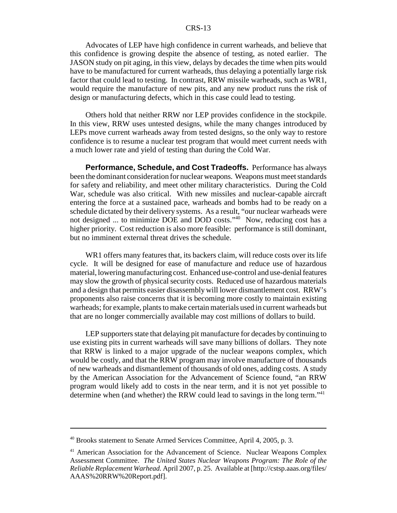Advocates of LEP have high confidence in current warheads, and believe that this confidence is growing despite the absence of testing, as noted earlier. The JASON study on pit aging, in this view, delays by decades the time when pits would have to be manufactured for current warheads, thus delaying a potentially large risk factor that could lead to testing. In contrast, RRW missile warheads, such as WR1, would require the manufacture of new pits, and any new product runs the risk of design or manufacturing defects, which in this case could lead to testing.

Others hold that neither RRW nor LEP provides confidence in the stockpile. In this view, RRW uses untested designs, while the many changes introduced by LEPs move current warheads away from tested designs, so the only way to restore confidence is to resume a nuclear test program that would meet current needs with a much lower rate and yield of testing than during the Cold War.

**Performance, Schedule, and Cost Tradeoffs.** Performance has always been the dominant consideration for nuclear weapons. Weapons must meet standards for safety and reliability, and meet other military characteristics. During the Cold War, schedule was also critical. With new missiles and nuclear-capable aircraft entering the force at a sustained pace, warheads and bombs had to be ready on a schedule dictated by their delivery systems. As a result, "our nuclear warheads were not designed ... to minimize DOE and DOD costs."40 Now, reducing cost has a higher priority. Cost reduction is also more feasible: performance is still dominant, but no imminent external threat drives the schedule.

WR1 offers many features that, its backers claim, will reduce costs over its life cycle. It will be designed for ease of manufacture and reduce use of hazardous material, lowering manufacturing cost. Enhanced use-control and use-denial features may slow the growth of physical security costs. Reduced use of hazardous materials and a design that permits easier disassembly will lower dismantlement cost. RRW's proponents also raise concerns that it is becoming more costly to maintain existing warheads; for example, plants to make certain materials used in current warheads but that are no longer commercially available may cost millions of dollars to build.

LEP supporters state that delaying pit manufacture for decades by continuing to use existing pits in current warheads will save many billions of dollars. They note that RRW is linked to a major upgrade of the nuclear weapons complex, which would be costly, and that the RRW program may involve manufacture of thousands of new warheads and dismantlement of thousands of old ones, adding costs. A study by the American Association for the Advancement of Science found, "an RRW program would likely add to costs in the near term, and it is not yet possible to determine when (and whether) the RRW could lead to savings in the long term.<sup> $11$ </sup>

<sup>40</sup> Brooks statement to Senate Armed Services Committee, April 4, 2005, p. 3.

<sup>&</sup>lt;sup>41</sup> American Association for the Advancement of Science. Nuclear Weapons Complex Assessment Committee. *The United States Nuclear Weapons Program: The Role of the Reliable Replacement Warhead.* April 2007, p. 25. Available at [http://cstsp.aaas.org/files/ AAAS%20RRW%20Report.pdf].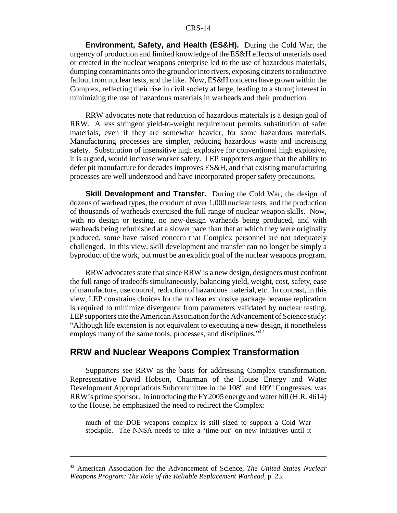**Environment, Safety, and Health (ES&H).** During the Cold War, the urgency of production and limited knowledge of the ES&H effects of materials used or created in the nuclear weapons enterprise led to the use of hazardous materials, dumping contaminants onto the ground or into rivers, exposing citizens to radioactive fallout from nuclear tests, and the like. Now, ES&H concerns have grown within the Complex, reflecting their rise in civil society at large, leading to a strong interest in minimizing the use of hazardous materials in warheads and their production.

RRW advocates note that reduction of hazardous materials is a design goal of RRW. A less stringent yield-to-weight requirement permits substitution of safer materials, even if they are somewhat heavier, for some hazardous materials. Manufacturing processes are simpler, reducing hazardous waste and increasing safety. Substitution of insensitive high explosive for conventional high explosive, it is argued, would increase worker safety. LEP supporters argue that the ability to defer pit manufacture for decades improves ES&H, and that existing manufacturing processes are well understood and have incorporated proper safety precautions.

**Skill Development and Transfer.** During the Cold War, the design of dozens of warhead types, the conduct of over 1,000 nuclear tests, and the production of thousands of warheads exercised the full range of nuclear weapon skills. Now, with no design or testing, no new-design warheads being produced, and with warheads being refurbished at a slower pace than that at which they were originally produced, some have raised concern that Complex personnel are not adequately challenged. In this view, skill development and transfer can no longer be simply a byproduct of the work, but must be an explicit goal of the nuclear weapons program.

RRW advocates state that since RRW is a new design, designers must confront the full range of tradeoffs simultaneously, balancing yield, weight, cost, safety, ease of manufacture, use control, reduction of hazardous material, etc. In contrast, in this view, LEP constrains choices for the nuclear explosive package because replication is required to minimize divergence from parameters validated by nuclear testing. LEP supporters cite the American Association for the Advancement of Science study: "Although life extension is not equivalent to executing a new design, it nonetheless employs many of the same tools, processes, and disciplines."<sup>42</sup>

#### **RRW and Nuclear Weapons Complex Transformation**

Supporters see RRW as the basis for addressing Complex transformation. Representative David Hobson, Chairman of the House Energy and Water Development Appropriations Subcommittee in the 108<sup>th</sup> and 109<sup>th</sup> Congresses, was RRW's prime sponsor. In introducing the FY2005 energy and water bill (H.R. 4614) to the House, he emphasized the need to redirect the Complex:

much of the DOE weapons complex is still sized to support a Cold War stockpile. The NNSA needs to take a 'time-out' on new initiatives until it

<sup>42</sup> American Association for the Advancement of Science, *The United States Nuclear Weapons Program: The Role of the Reliable Replacement Warhead,* p. 23.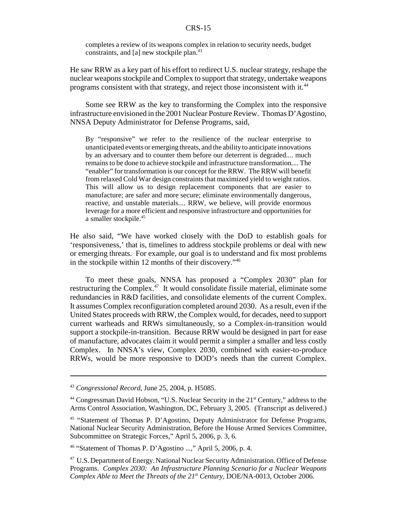completes a review of its weapons complex in relation to security needs, budget constraints, and [a] new stockpile plan.<sup>43</sup>

He saw RRW as a key part of his effort to redirect U.S. nuclear strategy, reshape the nuclear weapons stockpile and Complex to support that strategy, undertake weapons programs consistent with that strategy, and reject those inconsistent with it.<sup>44</sup>

Some see RRW as the key to transforming the Complex into the responsive infrastructure envisioned in the 2001 Nuclear Posture Review. Thomas D'Agostino, NNSA Deputy Administrator for Defense Programs, said,

By "responsive" we refer to the resilience of the nuclear enterprise to unanticipated events or emerging threats, and the ability to anticipate innovations by an adversary and to counter them before our deterrent is degraded.... much remains to be done to achieve stockpile and infrastructure transformation.... The "enabler" for transformation is our concept for the RRW. The RRW will benefit from relaxed Cold War design constraints that maximized yield to weight ratios. This will allow us to design replacement components that are easier to manufacture; are safer and more secure; eliminate environmentally dangerous, reactive, and unstable materials.... RRW, we believe, will provide enormous leverage for a more efficient and responsive infrastructure and opportunities for a smaller stockpile.<sup>45</sup>

He also said, "We have worked closely with the DoD to establish goals for 'responsiveness,' that is, timelines to address stockpile problems or deal with new or emerging threats. For example, our goal is to understand and fix most problems in the stockpile within 12 months of their discovery."46

To meet these goals, NNSA has proposed a "Complex 2030" plan for restructuring the Complex.<sup>47</sup> It would consolidate fissile material, eliminate some redundancies in R&D facilities, and consolidate elements of the current Complex. It assumes Complex reconfiguration completed around 2030. As a result, even if the United States proceeds with RRW, the Complex would, for decades, need to support current warheads and RRWs simultaneously, so a Complex-in-transition would support a stockpile-in-transition. Because RRW would be designed in part for ease of manufacture, advocates claim it would permit a simpler a smaller and less costly Complex. In NNSA's view, Complex 2030, combined with easier-to-produce RRWs, would be more responsive to DOD's needs than the current Complex.

<sup>43</sup> *Congressional Record*, June 25, 2004, p. H5085.

<sup>&</sup>lt;sup>44</sup> Congressman David Hobson, "U.S. Nuclear Security in the  $21<sup>st</sup>$  Century," address to the Arms Control Association, Washington, DC, February 3, 2005. (Transcript as delivered.)

<sup>45 &</sup>quot;Statement of Thomas P. D'Agostino, Deputy Administrator for Defense Programs, National Nuclear Security Administration, Before the House Armed Services Committee, Subcommittee on Strategic Forces," April 5, 2006, p. 3, 6.

<sup>46 &</sup>quot;Statement of Thomas P. D'Agostino ...," April 5, 2006, p. 4.

<sup>47</sup> U.S. Department of Energy. National Nuclear Security Administration. Office of Defense Programs. *Complex 2030: An Infrastructure Planning Scenario for a Nuclear Weapons Complex Able to Meet the Threats of the 21st Century,* DOE/NA-0013, October 2006.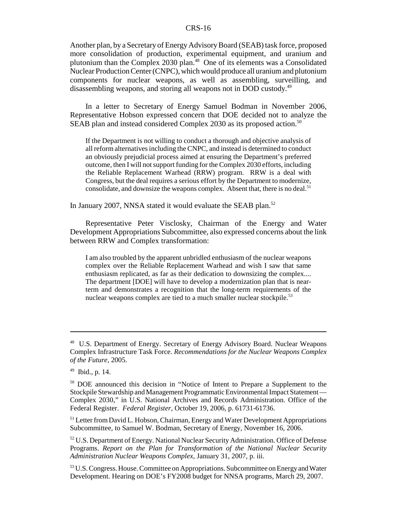Another plan, by a Secretary of Energy Advisory Board (SEAB) task force, proposed more consolidation of production, experimental equipment, and uranium and plutonium than the Complex 2030 plan.<sup>48</sup> One of its elements was a Consolidated Nuclear Production Center (CNPC), which would produce all uranium and plutonium components for nuclear weapons, as well as assembling, surveilling, and disassembling weapons, and storing all weapons not in DOD custody.49

In a letter to Secretary of Energy Samuel Bodman in November 2006, Representative Hobson expressed concern that DOE decided not to analyze the SEAB plan and instead considered Complex 2030 as its proposed action.<sup>50</sup>

If the Department is not willing to conduct a thorough and objective analysis of all reform alternatives including the CNPC, and instead is determined to conduct an obviously prejudicial process aimed at ensuring the Department's preferred outcome, then I will not support funding for the Complex 2030 efforts, including the Reliable Replacement Warhead (RRW) program. RRW is a deal with Congress, but the deal requires a serious effort by the Department to modernize, consolidate, and downsize the weapons complex. Absent that, there is no deal.<sup>51</sup>

In January 2007, NNSA stated it would evaluate the SEAB plan.<sup>52</sup>

Representative Peter Visclosky, Chairman of the Energy and Water Development Appropriations Subcommittee, also expressed concerns about the link between RRW and Complex transformation:

I am also troubled by the apparent unbridled enthusiasm of the nuclear weapons complex over the Reliable Replacement Warhead and wish I saw that same enthusiasm replicated, as far as their dedication to downsizing the complex.... The department [DOE] will have to develop a modernization plan that is nearterm and demonstrates a recognition that the long-term requirements of the nuclear weapons complex are tied to a much smaller nuclear stockpile.<sup>53</sup>

<sup>&</sup>lt;sup>48</sup> U.S. Department of Energy. Secretary of Energy Advisory Board. Nuclear Weapons Complex Infrastructure Task Force. *Recommendations for the Nuclear Weapons Complex of the Future,* 2005.

<sup>49</sup> Ibid., p. 14.

<sup>50</sup> DOE announced this decision in "Notice of Intent to Prepare a Supplement to the Stockpile Stewardship and Management Programmatic Environmental Impact Statement — Complex 2030," in U.S. National Archives and Records Administration. Office of the Federal Register. *Federal Register,* October 19, 2006, p. 61731-61736.

<sup>&</sup>lt;sup>51</sup> Letter from David L. Hobson, Chairman, Energy and Water Development Appropriations Subcommittee, to Samuel W. Bodman, Secretary of Energy, November 16, 2006.

<sup>&</sup>lt;sup>52</sup> U.S. Department of Energy. National Nuclear Security Administration. Office of Defense Programs. *Report on the Plan for Transformation of the National Nuclear Security Administration Nuclear Weapons Complex,* January 31, 2007, p. iii.

<sup>&</sup>lt;sup>53</sup> U.S. Congress. House. Committee on Appropriations. Subcommittee on Energy and Water Development. Hearing on DOE's FY2008 budget for NNSA programs, March 29, 2007.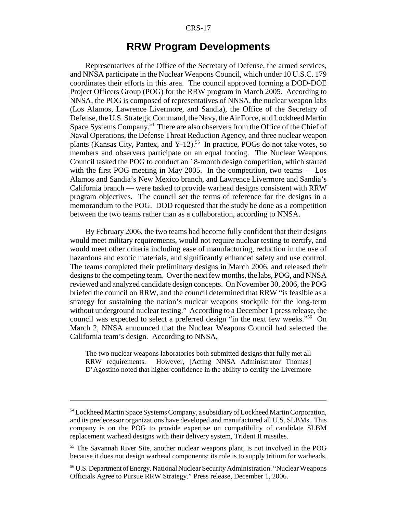### **RRW Program Developments**

Representatives of the Office of the Secretary of Defense, the armed services, and NNSA participate in the Nuclear Weapons Council, which under 10 U.S.C. 179 coordinates their efforts in this area. The council approved forming a DOD-DOE Project Officers Group (POG) for the RRW program in March 2005. According to NNSA, the POG is composed of representatives of NNSA, the nuclear weapon labs (Los Alamos, Lawrence Livermore, and Sandia), the Office of the Secretary of Defense, the U.S. Strategic Command, the Navy, the Air Force, and Lockheed Martin Space Systems Company.<sup>54</sup> There are also observers from the Office of the Chief of Naval Operations, the Defense Threat Reduction Agency, and three nuclear weapon plants (Kansas City, Pantex, and Y-12).<sup>55</sup> In practice, POGs do not take votes, so members and observers participate on an equal footing. The Nuclear Weapons Council tasked the POG to conduct an 18-month design competition, which started with the first POG meeting in May 2005. In the competition, two teams — Los Alamos and Sandia's New Mexico branch, and Lawrence Livermore and Sandia's California branch — were tasked to provide warhead designs consistent with RRW program objectives. The council set the terms of reference for the designs in a memorandum to the POG. DOD requested that the study be done as a competition between the two teams rather than as a collaboration, according to NNSA.

By February 2006, the two teams had become fully confident that their designs would meet military requirements, would not require nuclear testing to certify, and would meet other criteria including ease of manufacturing, reduction in the use of hazardous and exotic materials, and significantly enhanced safety and use control. The teams completed their preliminary designs in March 2006, and released their designs to the competing team. Over the next few months, the labs, POG, and NNSA reviewed and analyzed candidate design concepts. On November 30, 2006, the POG briefed the council on RRW, and the council determined that RRW "is feasible as a strategy for sustaining the nation's nuclear weapons stockpile for the long-term without underground nuclear testing." According to a December 1 press release, the council was expected to select a preferred design "in the next few weeks."56 On March 2, NNSA announced that the Nuclear Weapons Council had selected the California team's design. According to NNSA,

The two nuclear weapons laboratories both submitted designs that fully met all RRW requirements. However, [Acting NNSA Administrator Thomas] D'Agostino noted that higher confidence in the ability to certify the Livermore

<sup>&</sup>lt;sup>54</sup> Lockheed Martin Space Systems Company, a subsidiary of Lockheed Martin Corporation, and its predecessor organizations have developed and manufactured all U.S. SLBMs. This company is on the POG to provide expertise on compatibility of candidate SLBM replacement warhead designs with their delivery system, Trident II missiles.

<sup>55</sup> The Savannah River Site, another nuclear weapons plant, is not involved in the POG because it does not design warhead components; its role is to supply tritium for warheads.

<sup>56</sup> U.S. Department of Energy. National Nuclear Security Administration. "Nuclear Weapons Officials Agree to Pursue RRW Strategy." Press release, December 1, 2006.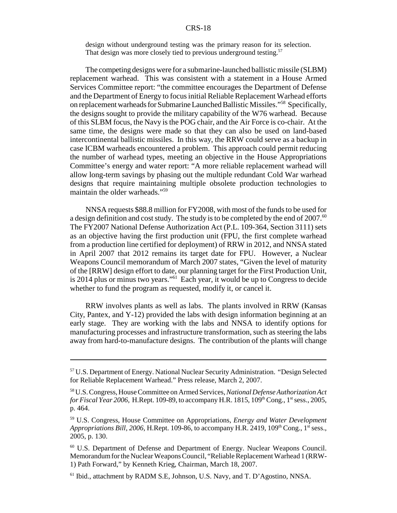design without underground testing was the primary reason for its selection. That design was more closely tied to previous underground testing.<sup>57</sup>

The competing designs were for a submarine-launched ballistic missile (SLBM) replacement warhead. This was consistent with a statement in a House Armed Services Committee report: "the committee encourages the Department of Defense and the Department of Energy to focus initial Reliable Replacement Warhead efforts on replacement warheads for Submarine Launched Ballistic Missiles."58 Specifically, the designs sought to provide the military capability of the W76 warhead. Because of this SLBM focus, the Navy is the POG chair, and the Air Force is co-chair. At the same time, the designs were made so that they can also be used on land-based intercontinental ballistic missiles. In this way, the RRW could serve as a backup in case ICBM warheads encountered a problem. This approach could permit reducing the number of warhead types, meeting an objective in the House Appropriations Committee's energy and water report: "A more reliable replacement warhead will allow long-term savings by phasing out the multiple redundant Cold War warhead designs that require maintaining multiple obsolete production technologies to maintain the older warheads."59

NNSA requests \$88.8 million for FY2008, with most of the funds to be used for a design definition and cost study. The study is to be completed by the end of  $2007.^{60}$ The FY2007 National Defense Authorization Act (P.L. 109-364, Section 3111) sets as an objective having the first production unit (FPU, the first complete warhead from a production line certified for deployment) of RRW in 2012, and NNSA stated in April 2007 that 2012 remains its target date for FPU. However, a Nuclear Weapons Council memorandum of March 2007 states, "Given the level of maturity of the [RRW] design effort to date, our planning target for the First Production Unit, is 2014 plus or minus two years."61 Each year, it would be up to Congress to decide whether to fund the program as requested, modify it, or cancel it.

RRW involves plants as well as labs. The plants involved in RRW (Kansas City, Pantex, and Y-12) provided the labs with design information beginning at an early stage. They are working with the labs and NNSA to identify options for manufacturing processes and infrastructure transformation, such as steering the labs away from hard-to-manufacture designs. The contribution of the plants will change

<sup>&</sup>lt;sup>57</sup> U.S. Department of Energy. National Nuclear Security Administration. "Design Selected for Reliable Replacement Warhead." Press release, March 2, 2007.

<sup>58</sup> U.S. Congress, House Committee on Armed Services, *National Defense Authorization Act for Fiscal Year 2006,* H.Rept. 109-89, to accompany H.R.  $1815, 109<sup>th</sup>$  Cong.,  $1<sup>st</sup>$  sess., 2005, p. 464.

<sup>59</sup> U.S. Congress, House Committee on Appropriations, *Energy and Water Development Appropriations Bill, 2006, H.Rept. 109-86, to accompany H.R. 2419, 109<sup>th</sup> Cong., 1<sup>st</sup> sess.,* 2005, p. 130.

<sup>60</sup> U.S. Department of Defense and Department of Energy. Nuclear Weapons Council. Memorandum for the Nuclear Weapons Council, "Reliable Replacement Warhead 1 (RRW-1) Path Forward," by Kenneth Krieg, Chairman, March 18, 2007.

<sup>&</sup>lt;sup>61</sup> Ibid., attachment by RADM S.E, Johnson, U.S. Navy, and T. D'Agostino, NNSA.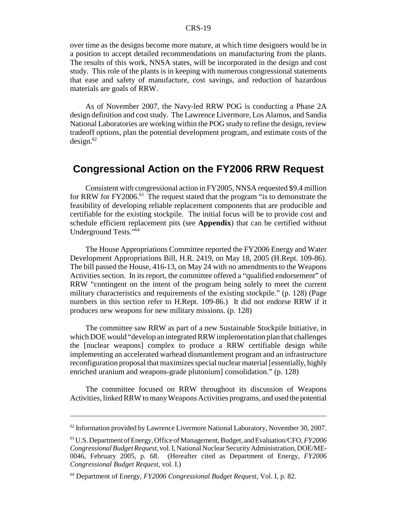over time as the designs become more mature, at which time designers would be in a position to accept detailed recommendations on manufacturing from the plants. The results of this work, NNSA states, will be incorporated in the design and cost study. This role of the plants is in keeping with numerous congressional statements that ease and safety of manufacture, cost savings, and reduction of hazardous materials are goals of RRW.

As of November 2007, the Navy-led RRW POG is conducting a Phase 2A design definition and cost study. The Lawrence Livermore, Los Alamos, and Sandia National Laboratories are working within the POG study to refine the design, review tradeoff options, plan the potential development program, and estimate costs of the  $design.<sup>62</sup>$ 

# **Congressional Action on the FY2006 RRW Request**

Consistent with congressional action in FY2005, NNSA requested \$9.4 million for RRW for FY2006.<sup>63</sup> The request stated that the program "is to demonstrate the feasibility of developing reliable replacement components that are producible and certifiable for the existing stockpile. The initial focus will be to provide cost and schedule efficient replacement pits (see **Appendix**) that can be certified without Underground Tests."64

The House Appropriations Committee reported the FY2006 Energy and Water Development Appropriations Bill, H.R. 2419, on May 18, 2005 (H.Rept. 109-86). The bill passed the House, 416-13, on May 24 with no amendments to the Weapons Activities section. In its report, the committee offered a "qualified endorsement" of RRW "contingent on the intent of the program being solely to meet the current military characteristics and requirements of the existing stockpile." (p. 128) (Page numbers in this section refer to H.Rept. 109-86.) It did not endorse RRW if it produces new weapons for new military missions. (p. 128)

The committee saw RRW as part of a new Sustainable Stockpile Initiative, in which DOE would "develop an integrated RRW implementation plan that challenges the [nuclear weapons] complex to produce a RRW certifiable design while implementing an accelerated warhead dismantlement program and an infrastructure reconfiguration proposal that maximizes special nuclear material [essentially, highly enriched uranium and weapons-grade plutonium] consolidation." (p. 128)

The committee focused on RRW throughout its discussion of Weapons Activities, linked RRW to many Weapons Activities programs, and used the potential

 $62$  Information provided by Lawrence Livermore National Laboratory, November 30, 2007.

<sup>63</sup> U.S. Department of Energy, Office of Management, Budget, and Evaluation/CFO, *FY2006 Congressional Budget Request*, vol. I, National Nuclear Security Administration, DOE/ME-0046, February 2005, p. 68. (Hereafter cited as Department of Energy, *FY2006 Congressional Budget Request*, vol. I.)

<sup>64</sup> Department of Energy, *FY2006 Congressional Budget Request*, Vol. I, p. 82.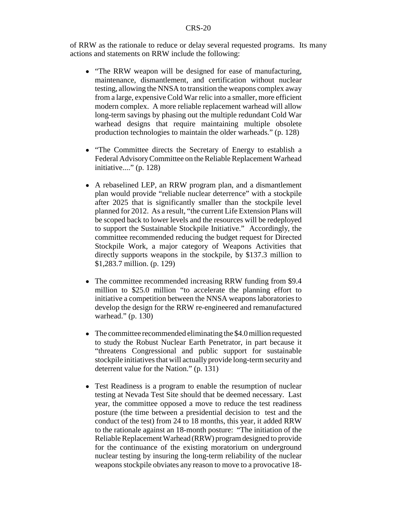of RRW as the rationale to reduce or delay several requested programs. Its many actions and statements on RRW include the following:

- "The RRW weapon will be designed for ease of manufacturing, maintenance, dismantlement, and certification without nuclear testing, allowing the NNSA to transition the weapons complex away from a large, expensive Cold War relic into a smaller, more efficient modern complex. A more reliable replacement warhead will allow long-term savings by phasing out the multiple redundant Cold War warhead designs that require maintaining multiple obsolete production technologies to maintain the older warheads." (p. 128)
- "The Committee directs the Secretary of Energy to establish a Federal Advisory Committee on the Reliable Replacement Warhead initiative...." (p. 128)
- ! A rebaselined LEP, an RRW program plan, and a dismantlement plan would provide "reliable nuclear deterrence" with a stockpile after 2025 that is significantly smaller than the stockpile level planned for 2012. As a result, "the current Life Extension Plans will be scoped back to lower levels and the resources will be redeployed to support the Sustainable Stockpile Initiative." Accordingly, the committee recommended reducing the budget request for Directed Stockpile Work, a major category of Weapons Activities that directly supports weapons in the stockpile, by \$137.3 million to \$1,283.7 million. (p. 129)
- The committee recommended increasing RRW funding from \$9.4 million to \$25.0 million "to accelerate the planning effort to initiative a competition between the NNSA weapons laboratories to develop the design for the RRW re-engineered and remanufactured warhead." (p. 130)
- The committee recommended eliminating the \$4.0 million requested to study the Robust Nuclear Earth Penetrator, in part because it "threatens Congressional and public support for sustainable stockpile initiatives that will actually provide long-term security and deterrent value for the Nation." (p. 131)
- Test Readiness is a program to enable the resumption of nuclear testing at Nevada Test Site should that be deemed necessary. Last year, the committee opposed a move to reduce the test readiness posture (the time between a presidential decision to test and the conduct of the test) from 24 to 18 months, this year, it added RRW to the rationale against an 18-month posture: "The initiation of the Reliable Replacement Warhead (RRW) program designed to provide for the continuance of the existing moratorium on underground nuclear testing by insuring the long-term reliability of the nuclear weapons stockpile obviates any reason to move to a provocative 18-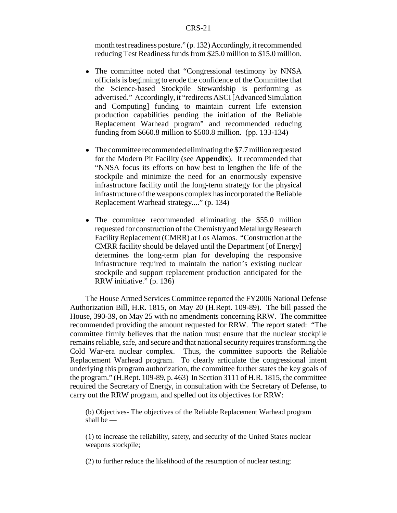month test readiness posture." (p. 132) Accordingly, it recommended reducing Test Readiness funds from \$25.0 million to \$15.0 million.

- The committee noted that "Congressional testimony by NNSA officials is beginning to erode the confidence of the Committee that the Science-based Stockpile Stewardship is performing as advertised." Accordingly, it "redirects ASCI [Advanced Simulation and Computing] funding to maintain current life extension production capabilities pending the initiation of the Reliable Replacement Warhead program" and recommended reducing funding from \$660.8 million to \$500.8 million. (pp. 133-134)
- The committee recommended eliminating the \$7.7 million requested for the Modern Pit Facility (see **Appendix**). It recommended that "NNSA focus its efforts on how best to lengthen the life of the stockpile and minimize the need for an enormously expensive infrastructure facility until the long-term strategy for the physical infrastructure of the weapons complex has incorporated the Reliable Replacement Warhead strategy...." (p. 134)
- The committee recommended eliminating the \$55.0 million requested for construction of the Chemistry and Metallurgy Research Facility Replacement (CMRR) at Los Alamos. "Construction at the CMRR facility should be delayed until the Department [of Energy] determines the long-term plan for developing the responsive infrastructure required to maintain the nation's existing nuclear stockpile and support replacement production anticipated for the RRW initiative." (p. 136)

The House Armed Services Committee reported the FY2006 National Defense Authorization Bill, H.R. 1815, on May 20 (H.Rept. 109-89). The bill passed the House, 390-39, on May 25 with no amendments concerning RRW. The committee recommended providing the amount requested for RRW. The report stated: "The committee firmly believes that the nation must ensure that the nuclear stockpile remains reliable, safe, and secure and that national security requires transforming the Cold War-era nuclear complex. Thus, the committee supports the Reliable Replacement Warhead program. To clearly articulate the congressional intent underlying this program authorization, the committee further states the key goals of the program." (H.Rept. 109-89, p. 463) In Section 3111 of H.R. 1815, the committee required the Secretary of Energy, in consultation with the Secretary of Defense, to carry out the RRW program, and spelled out its objectives for RRW:

(b) Objectives- The objectives of the Reliable Replacement Warhead program shall be —

(1) to increase the reliability, safety, and security of the United States nuclear weapons stockpile;

(2) to further reduce the likelihood of the resumption of nuclear testing;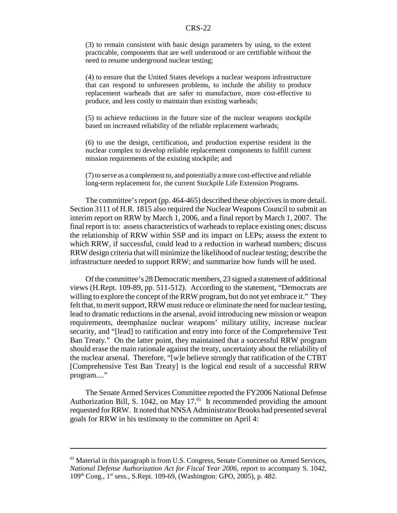(3) to remain consistent with basic design parameters by using, to the extent practicable, components that are well understood or are certifiable without the need to resume underground nuclear testing;

(4) to ensure that the United States develops a nuclear weapons infrastructure that can respond to unforeseen problems, to include the ability to produce replacement warheads that are safer to manufacture, more cost-effective to produce, and less costly to maintain than existing warheads;

(5) to achieve reductions in the future size of the nuclear weapons stockpile based on increased reliability of the reliable replacement warheads;

(6) to use the design, certification, and production expertise resident in the nuclear complex to develop reliable replacement components to fulfill current mission requirements of the existing stockpile; and

(7) to serve as a complement to, and potentially a more cost-effective and reliable long-term replacement for, the current Stockpile Life Extension Programs.

The committee's report (pp. 464-465) described these objectives in more detail. Section 3111 of H.R. 1815 also required the Nuclear Weapons Council to submit an interim report on RRW by March 1, 2006, and a final report by March 1, 2007. The final report is to: assess characteristics of warheads to replace existing ones; discuss the relationship of RRW within SSP and its impact on LEPs; assess the extent to which RRW, if successful, could lead to a reduction in warhead numbers; discuss RRW design criteria that will minimize the likelihood of nuclear testing; describe the infrastructure needed to support RRW; and summarize how funds will be used.

Of the committee's 28 Democratic members, 23 signed a statement of additional views (H.Rept. 109-89, pp. 511-512). According to the statement, "Democrats are willing to explore the concept of the RRW program, but do not yet embrace it." They felt that, to merit support, RRW must reduce or eliminate the need for nuclear testing, lead to dramatic reductions in the arsenal, avoid introducing new mission or weapon requirements, deemphasize nuclear weapons' military utility, increase nuclear security, and "[lead] to ratification and entry into force of the Comprehensive Test Ban Treaty." On the latter point, they maintained that a successful RRW program should erase the main rationale against the treaty, uncertainty about the reliability of the nuclear arsenal. Therefore, "[w]e believe strongly that ratification of the CTBT [Comprehensive Test Ban Treaty] is the logical end result of a successful RRW program...."

The Senate Armed Services Committee reported the FY2006 National Defense Authorization Bill, S. 1042, on May 17. $65$  It recommended providing the amount requested for RRW. It noted that NNSA Administrator Brooks had presented several goals for RRW in his testimony to the committee on April 4:

<sup>&</sup>lt;sup>65</sup> Material in this paragraph is from U.S. Congress, Senate Committee on Armed Services, *National Defense Authorization Act for Fiscal Year 2006*, report to accompany S. 1042, 109th Cong., 1st sess., S.Rept. 109-69, (Washington: GPO, 2005), p. 482.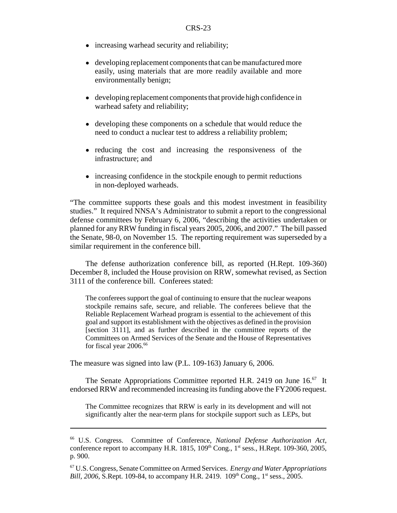- increasing warhead security and reliability;
- developing replacement components that can be manufactured more easily, using materials that are more readily available and more environmentally benign;
- developing replacement components that provide high confidence in warhead safety and reliability;
- developing these components on a schedule that would reduce the need to conduct a nuclear test to address a reliability problem;
- ! reducing the cost and increasing the responsiveness of the infrastructure; and
- increasing confidence in the stockpile enough to permit reductions in non-deployed warheads.

"The committee supports these goals and this modest investment in feasibility studies." It required NNSA's Administrator to submit a report to the congressional defense committees by February 6, 2006, "describing the activities undertaken or planned for any RRW funding in fiscal years 2005, 2006, and 2007." The bill passed the Senate, 98-0, on November 15. The reporting requirement was superseded by a similar requirement in the conference bill.

The defense authorization conference bill, as reported (H.Rept. 109-360) December 8, included the House provision on RRW, somewhat revised, as Section 3111 of the conference bill. Conferees stated:

The conferees support the goal of continuing to ensure that the nuclear weapons stockpile remains safe, secure, and reliable. The conferees believe that the Reliable Replacement Warhead program is essential to the achievement of this goal and support its establishment with the objectives as defined in the provision [section 3111], and as further described in the committee reports of the Committees on Armed Services of the Senate and the House of Representatives for fiscal year 2006.<sup>66</sup>

The measure was signed into law (P.L. 109-163) January 6, 2006.

The Senate Appropriations Committee reported H.R. 2419 on June 16.<sup>67</sup> It endorsed RRW and recommended increasing its funding above the FY2006 request.

The Committee recognizes that RRW is early in its development and will not significantly alter the near-term plans for stockpile support such as LEPs, but

<sup>66</sup> U.S. Congress. Committee of Conference, *National Defense Authorization Act*, conference report to accompany H.R. 1815,  $109<sup>th</sup>$  Cong.,  $1<sup>st</sup>$  sess., H.Rept. 109-360, 2005, p. 900.

<sup>67</sup> U.S. Congress, Senate Committee on Armed Services. *Energy and Water Appropriations Bill, 2006*, S.Rept. 109-84, to accompany H.R. 2419. 109<sup>th</sup> Cong., 1<sup>st</sup> sess., 2005.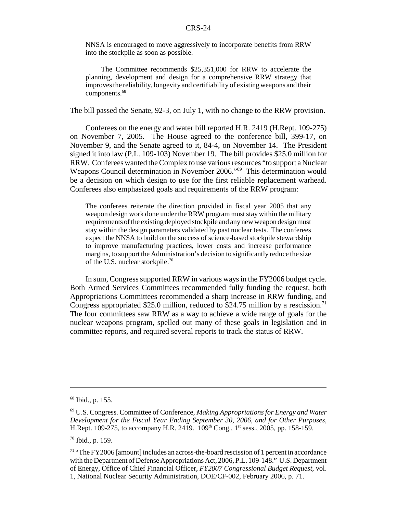NNSA is encouraged to move aggressively to incorporate benefits from RRW into the stockpile as soon as possible.

The Committee recommends \$25,351,000 for RRW to accelerate the planning, development and design for a comprehensive RRW strategy that improves the reliability, longevity and certifiability of existing weapons and their components.<sup>68</sup>

The bill passed the Senate, 92-3, on July 1, with no change to the RRW provision.

Conferees on the energy and water bill reported H.R. 2419 (H.Rept. 109-275) on November 7, 2005. The House agreed to the conference bill, 399-17, on November 9, and the Senate agreed to it, 84-4, on November 14. The President signed it into law (P.L. 109-103) November 19. The bill provides \$25.0 million for RRW. Conferees wanted the Complex to use various resources "to support a Nuclear Weapons Council determination in November 2006."<sup>69</sup> This determination would be a decision on which design to use for the first reliable replacement warhead. Conferees also emphasized goals and requirements of the RRW program:

The conferees reiterate the direction provided in fiscal year 2005 that any weapon design work done under the RRW program must stay within the military requirements of the existing deployed stockpile and any new weapon design must stay within the design parameters validated by past nuclear tests. The conferees expect the NNSA to build on the success of science-based stockpile stewardship to improve manufacturing practices, lower costs and increase performance margins, to support the Administration's decision to significantly reduce the size of the U.S. nuclear stockpile.<sup>70</sup>

In sum, Congress supported RRW in various ways in the FY2006 budget cycle. Both Armed Services Committees recommended fully funding the request, both Appropriations Committees recommended a sharp increase in RRW funding, and Congress appropriated \$25.0 million, reduced to \$24.75 million by a rescission.<sup>71</sup> The four committees saw RRW as a way to achieve a wide range of goals for the nuclear weapons program, spelled out many of these goals in legislation and in committee reports, and required several reports to track the status of RRW.

<sup>68</sup> Ibid., p. 155.

<sup>69</sup> U.S. Congress. Committee of Conference, *Making Appropriations for Energy and Water Development for the Fiscal Year Ending September 30, 2006, and for Other Purposes*, H.Rept. 109-275, to accompany H.R. 2419. 109<sup>th</sup> Cong., 1<sup>st</sup> sess., 2005, pp. 158-159.

<sup>70</sup> Ibid., p. 159.

<sup>71 &</sup>quot;The FY2006 [amount] includes an across-the-board rescission of 1 percent in accordance with the Department of Defense Appropriations Act, 2006, P.L. 109-148." U.S. Department of Energy, Office of Chief Financial Officer, *FY2007 Congressional Budget Request*, vol. 1, National Nuclear Security Administration, DOE/CF-002, February 2006, p. 71.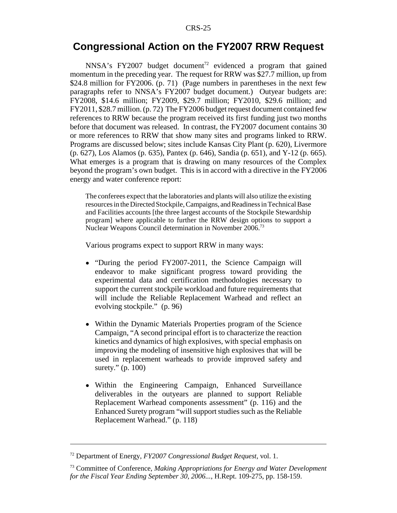### **Congressional Action on the FY2007 RRW Request**

NNSA's FY2007 budget document<sup>72</sup> evidenced a program that gained momentum in the preceding year. The request for RRW was \$27.7 million, up from \$24.8 million for FY2006. (p. 71) (Page numbers in parentheses in the next few paragraphs refer to NNSA's FY2007 budget document.) Outyear budgets are: FY2008, \$14.6 million; FY2009, \$29.7 million; FY2010, \$29.6 million; and FY2011, \$28.7 million. (p. 72) The FY2006 budget request document contained few references to RRW because the program received its first funding just two months before that document was released. In contrast, the FY2007 document contains 30 or more references to RRW that show many sites and programs linked to RRW. Programs are discussed below; sites include Kansas City Plant (p. 620), Livermore (p. 627), Los Alamos (p. 635), Pantex (p. 646), Sandia (p. 651), and Y-12 (p. 665). What emerges is a program that is drawing on many resources of the Complex beyond the program's own budget. This is in accord with a directive in the FY2006 energy and water conference report:

The conferees expect that the laboratories and plants will also utilize the existing resources in the Directed Stockpile, Campaigns, and Readiness in Technical Base and Facilities accounts [the three largest accounts of the Stockpile Stewardship program] where applicable to further the RRW design options to support a Nuclear Weapons Council determination in November 2006.73

Various programs expect to support RRW in many ways:

- "During the period FY2007-2011, the Science Campaign will endeavor to make significant progress toward providing the experimental data and certification methodologies necessary to support the current stockpile workload and future requirements that will include the Reliable Replacement Warhead and reflect an evolving stockpile." (p. 96)
- ! Within the Dynamic Materials Properties program of the Science Campaign, "A second principal effort is to characterize the reaction kinetics and dynamics of high explosives, with special emphasis on improving the modeling of insensitive high explosives that will be used in replacement warheads to provide improved safety and surety." (p. 100)
- ! Within the Engineering Campaign, Enhanced Surveillance deliverables in the outyears are planned to support Reliable Replacement Warhead components assessment" (p. 116) and the Enhanced Surety program "will support studies such as the Reliable Replacement Warhead." (p. 118)

<sup>72</sup> Department of Energy, *FY2007 Congressional Budget Request*, vol. 1.

<sup>73</sup> Committee of Conference, *Making Appropriations for Energy and Water Development for the Fiscal Year Ending September 30, 2006...*, H.Rept. 109-275, pp. 158-159.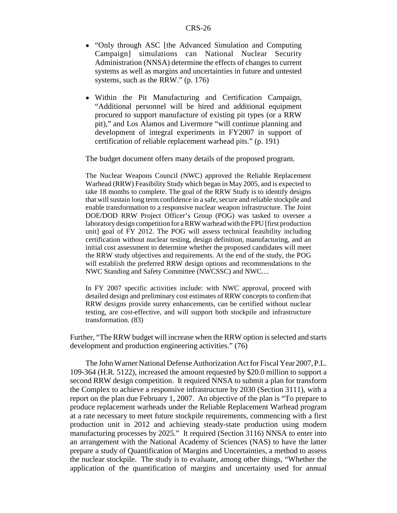- ! "Only through ASC [the Advanced Simulation and Computing Campaign] simulations can National Nuclear Security Administration (NNSA) determine the effects of changes to current systems as well as margins and uncertainties in future and untested systems, such as the RRW." (p. 176)
- ! Within the Pit Manufacturing and Certification Campaign, "Additional personnel will be hired and additional equipment procured to support manufacture of existing pit types (or a RRW pit)," and Los Alamos and Livermore "will continue planning and development of integral experiments in FY2007 in support of certification of reliable replacement warhead pits." (p. 191)

The budget document offers many details of the proposed program.

The Nuclear Weapons Council (NWC) approved the Reliable Replacement Warhead (RRW) Feasibility Study which began in May 2005, and is expected to take 18 months to complete. The goal of the RRW Study is to identify designs that will sustain long term confidence in a safe, secure and reliable stockpile and enable transformation to a responsive nuclear weapon infrastructure. The Joint DOE/DOD RRW Project Officer's Group (POG) was tasked to oversee a laboratory design competition for a RRW warhead with the FPU [first production unit] goal of FY 2012. The POG will assess technical feasibility including certification without nuclear testing, design definition, manufacturing, and an initial cost assessment to determine whether the proposed candidates will meet the RRW study objectives and requirements. At the end of the study, the POG will establish the preferred RRW design options and recommendations to the NWC Standing and Safety Committee (NWCSSC) and NWC....

In FY 2007 specific activities include: with NWC approval, proceed with detailed design and preliminary cost estimates of RRW concepts to confirm that RRW designs provide surety enhancements, can be certified without nuclear testing, are cost-effective, and will support both stockpile and infrastructure transformation. (83)

Further, "The RRW budget will increase when the RRW option is selected and starts development and production engineering activities." (76)

The John Warner National Defense Authorization Act for Fiscal Year 2007, P.L. 109-364 (H.R. 5122), increased the amount requested by \$20.0 million to support a second RRW design competition. It required NNSA to submit a plan for transform the Complex to achieve a responsive infrastructure by 2030 (Section 3111), with a report on the plan due February 1, 2007. An objective of the plan is "To prepare to produce replacement warheads under the Reliable Replacement Warhead program at a rate necessary to meet future stockpile requirements, commencing with a first production unit in 2012 and achieving steady-state production using modern manufacturing processes by 2025." It required (Section 3116) NNSA to enter into an arrangement with the National Academy of Sciences (NAS) to have the latter prepare a study of Quantification of Margins and Uncertainties, a method to assess the nuclear stockpile. The study is to evaluate, among other things, "Whether the application of the quantification of margins and uncertainty used for annual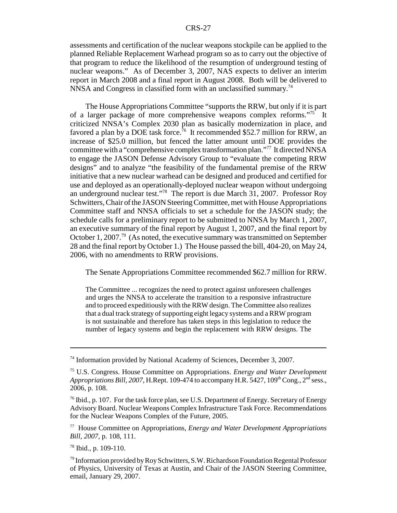assessments and certification of the nuclear weapons stockpile can be applied to the planned Reliable Replacement Warhead program so as to carry out the objective of that program to reduce the likelihood of the resumption of underground testing of nuclear weapons." As of December 3, 2007, NAS expects to deliver an interim report in March 2008 and a final report in August 2008. Both will be delivered to NNSA and Congress in classified form with an unclassified summary.<sup>74</sup>

The House Appropriations Committee "supports the RRW, but only if it is part of a larger package of more comprehensive weapons complex reforms."75 It criticized NNSA's Complex 2030 plan as basically modernization in place, and favored a plan by a DOE task force.<sup>76</sup> It recommended \$52.7 million for RRW, an increase of \$25.0 million, but fenced the latter amount until DOE provides the committee with a "comprehensive complex transformation plan."77 It directed NNSA to engage the JASON Defense Advisory Group to "evaluate the competing RRW designs" and to analyze "the feasibility of the fundamental premise of the RRW initiative that a new nuclear warhead can be designed and produced and certified for use and deployed as an operationally-deployed nuclear weapon without undergoing an underground nuclear test."78 The report is due March 31, 2007. Professor Roy Schwitters, Chair of the JASON Steering Committee, met with House Appropriations Committee staff and NNSA officials to set a schedule for the JASON study; the schedule calls for a preliminary report to be submitted to NNSA by March 1, 2007, an executive summary of the final report by August 1, 2007, and the final report by October 1, 2007.<sup>79</sup> (As noted, the executive summary was transmitted on September 28 and the final report by October 1.) The House passed the bill, 404-20, on May 24, 2006, with no amendments to RRW provisions.

The Senate Appropriations Committee recommended \$62.7 million for RRW.

The Committee ... recognizes the need to protect against unforeseen challenges and urges the NNSA to accelerate the transition to a responsive infrastructure and to proceed expeditiously with the RRW design. The Committee also realizes that a dual track strategy of supporting eight legacy systems and a RRW program is not sustainable and therefore has taken steps in this legislation to reduce the number of legacy systems and begin the replacement with RRW designs. The

77 House Committee on Appropriations, *Energy and Water Development Appropriations Bill, 2007,* p. 108, 111.

78 Ibid., p. 109-110.

<sup>&</sup>lt;sup>74</sup> Information provided by National Academy of Sciences, December 3, 2007.

<sup>75</sup> U.S. Congress. House Committee on Appropriations. *Energy and Water Development Appropriations Bill, 2007, H.Rept. 109-474 to accompany H.R. 5427, 109*<sup>th</sup> Cong.,  $2<sup>nd</sup>$  sess., 2006, p. 108.

 $^{76}$  Ibid., p. 107. For the task force plan, see U.S. Department of Energy. Secretary of Energy Advisory Board. Nuclear Weapons Complex Infrastructure Task Force. Recommendations for the Nuclear Weapons Complex of the Future, 2005.

<sup>&</sup>lt;sup>79</sup> Information provided by Roy Schwitters, S.W. Richardson Foundation Regental Professor of Physics, University of Texas at Austin, and Chair of the JASON Steering Committee, email, January 29, 2007.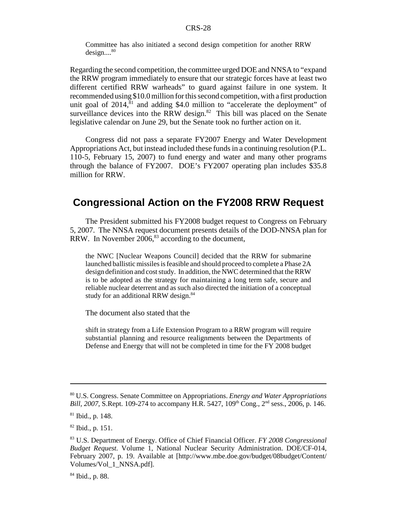Committee has also initiated a second design competition for another RRW  $design...^{80}$ 

Regarding the second competition, the committee urged DOE and NNSA to "expand the RRW program immediately to ensure that our strategic forces have at least two different certified RRW warheads" to guard against failure in one system. It recommended using \$10.0 million for this second competition, with a first production unit goal of  $2014$ ,  $81$  and adding \$4.0 million to "accelerate the deployment" of surveillance devices into the RRW design. $82$  This bill was placed on the Senate legislative calendar on June 29, but the Senate took no further action on it.

Congress did not pass a separate FY2007 Energy and Water Development Appropriations Act, but instead included these funds in a continuing resolution (P.L. 110-5, February 15, 2007) to fund energy and water and many other programs through the balance of FY2007. DOE's FY2007 operating plan includes \$35.8 million for RRW.

### **Congressional Action on the FY2008 RRW Request**

The President submitted his FY2008 budget request to Congress on February 5, 2007. The NNSA request document presents details of the DOD-NNSA plan for RRW. In November  $2006$ ,<sup>83</sup> according to the document,

the NWC [Nuclear Weapons Council] decided that the RRW for submarine launched ballistic missiles is feasible and should proceed to complete a Phase 2A design definition and cost study. In addition, the NWC determined that the RRW is to be adopted as the strategy for maintaining a long term safe, secure and reliable nuclear deterrent and as such also directed the initiation of a conceptual study for an additional RRW design.<sup>84</sup>

The document also stated that the

shift in strategy from a Life Extension Program to a RRW program will require substantial planning and resource realignments between the Departments of Defense and Energy that will not be completed in time for the FY 2008 budget

<sup>80</sup> U.S. Congress. Senate Committee on Appropriations. *Energy and Water Appropriations Bill, 2007, S.Rept. 109-274 to accompany H.R. 5427, 109<sup>th</sup> Cong., 2<sup>nd</sup> sess., 2006, p. 146.* 

<sup>81</sup> Ibid., p. 148.

<sup>82</sup> Ibid., p. 151.

<sup>83</sup> U.S. Department of Energy. Office of Chief Financial Officer. *FY 2008 Congressional Budget Request.* Volume 1, National Nuclear Security Administration. DOE/CF-014, February 2007, p. 19. Available at [http://www.mbe.doe.gov/budget/08budget/Content/ Volumes/Vol\_1\_NNSA.pdf].

<sup>84</sup> Ibid., p. 88.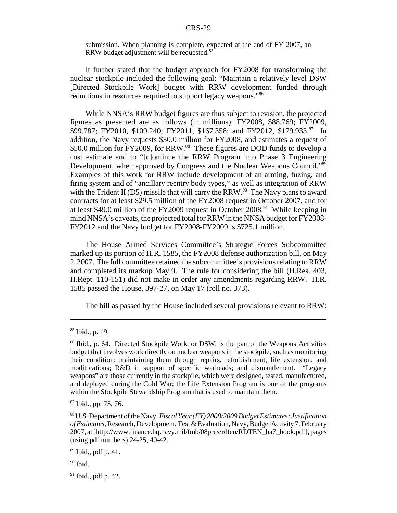submission. When planning is complete, expected at the end of FY 2007, an RRW budget adjustment will be requested.<sup>85</sup>

It further stated that the budget approach for FY2008 for transforming the nuclear stockpile included the following goal: "Maintain a relatively level DSW [Directed Stockpile Work] budget with RRW development funded through reductions in resources required to support legacy weapons."86

While NNSA's RRW budget figures are thus subject to revision, the projected figures as presented are as follows (in millions): FY2008, \$88.769; FY2009, \$99.787; FY2010, \$109.240; FY2011, \$167.358; and FY2012, \$179.933.<sup>87</sup> In addition, the Navy requests \$30.0 million for FY2008, and estimates a request of \$50.0 million for FY2009, for RRW.<sup>88</sup> These figures are DOD funds to develop a cost estimate and to "[c]ontinue the RRW Program into Phase 3 Engineering Development, when approved by Congress and the Nuclear Weapons Council."<sup>89</sup> Examples of this work for RRW include development of an arming, fuzing, and firing system and of "ancillary reentry body types," as well as integration of RRW with the Trident II (D5) missile that will carry the RRW.<sup>90</sup> The Navy plans to award contracts for at least \$29.5 million of the FY2008 request in October 2007, and for at least \$49.0 million of the FY2009 request in October  $2008<sup>91</sup>$  While keeping in mind NNSA's caveats, the projected total for RRW in the NNSA budget for FY2008- FY2012 and the Navy budget for FY2008-FY2009 is \$725.1 million.

The House Armed Services Committee's Strategic Forces Subcommittee marked up its portion of H.R. 1585, the FY2008 defense authorization bill, on May 2, 2007. The full committee retained the subcommittee's provisions relating to RRW and completed its markup May 9. The rule for considering the bill (H.Res. 403, H.Rept. 110-151) did not make in order any amendments regarding RRW. H.R. 1585 passed the House, 397-27, on May 17 (roll no. 373).

The bill as passed by the House included several provisions relevant to RRW:

 $85$  Ibid., p. 19.

<sup>&</sup>lt;sup>86</sup> Ibid., p. 64. Directed Stockpile Work, or DSW, is the part of the Weapons Activities budget that involves work directly on nuclear weapons in the stockpile, such as monitoring their condition; maintaining them through repairs, refurbishment, life extension, and modifications; R&D in support of specific warheads; and dismantlement. "Legacy weapons" are those currently in the stockpile, which were designed, tested, manufactured, and deployed during the Cold War; the Life Extension Program is one of the programs within the Stockpile Stewardship Program that is used to maintain them.

<sup>87</sup> Ibid., pp. 75, 76.

<sup>88</sup> U.S. Department of the Navy. *Fiscal Year (FY) 2008/2009 Budget Estimates: Justification of Estimates,* Research, Development, Test & Evaluation, Navy, Budget Activity 7, February 2007, at [http://www.finance.hq.navy.mil/fmb/08pres/rdten/RDTEN\_ba7\_book.pdf], pages (using pdf numbers) 24-25, 40-42.

 $89$  Ibid., pdf p. 41.

 $90$  Ibid.

 $91$  Ibid., pdf p. 42.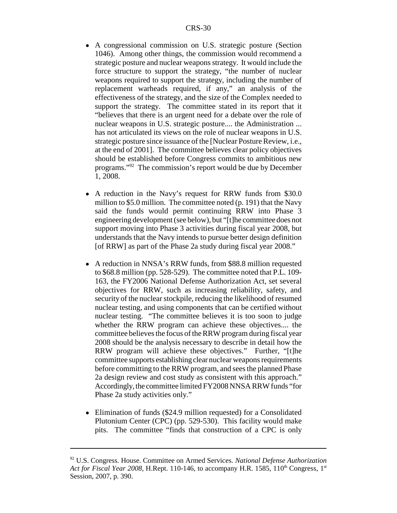- A congressional commission on U.S. strategic posture (Section 1046). Among other things, the commission would recommend a strategic posture and nuclear weapons strategy. It would include the force structure to support the strategy, "the number of nuclear weapons required to support the strategy, including the number of replacement warheads required, if any," an analysis of the effectiveness of the strategy, and the size of the Complex needed to support the strategy. The committee stated in its report that it "believes that there is an urgent need for a debate over the role of nuclear weapons in U.S. strategic posture.... the Administration ... has not articulated its views on the role of nuclear weapons in U.S. strategic posture since issuance of the [Nuclear Posture Review, i.e., at the end of 2001]. The committee believes clear policy objectives should be established before Congress commits to ambitious new programs."92 The commission's report would be due by December 1, 2008.
- A reduction in the Navy's request for RRW funds from \$30.0 million to \$5.0 million. The committee noted (p. 191) that the Navy said the funds would permit continuing RRW into Phase 3 engineering development (see below), but "[t]he committee does not support moving into Phase 3 activities during fiscal year 2008, but understands that the Navy intends to pursue better design definition [of RRW] as part of the Phase 2a study during fiscal year 2008."
- A reduction in NNSA's RRW funds, from \$88.8 million requested to \$68.8 million (pp. 528-529). The committee noted that P.L. 109- 163, the FY2006 National Defense Authorization Act, set several objectives for RRW, such as increasing reliability, safety, and security of the nuclear stockpile, reducing the likelihood of resumed nuclear testing, and using components that can be certified without nuclear testing. "The committee believes it is too soon to judge whether the RRW program can achieve these objectives.... the committee believes the focus of the RRW program during fiscal year 2008 should be the analysis necessary to describe in detail how the RRW program will achieve these objectives." Further, "[t]he committee supports establishing clear nuclear weapons requirements before committing to the RRW program, and sees the planned Phase 2a design review and cost study as consistent with this approach." Accordingly, the committee limited FY2008 NNSA RRW funds "for Phase 2a study activities only."
- Elimination of funds (\$24.9 million requested) for a Consolidated Plutonium Center (CPC) (pp. 529-530). This facility would make pits. The committee "finds that construction of a CPC is only

<sup>92</sup> U.S. Congress. House. Committee on Armed Services. *National Defense Authorization Act for Fiscal Year 2008,* H.Rept. 110-146, to accompany H.R. 1585, 110<sup>th</sup> Congress, 1<sup>st</sup> Session, 2007, p. 390.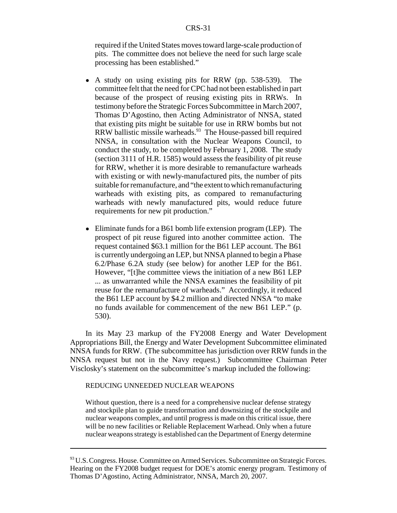required if the United States moves toward large-scale production of pits. The committee does not believe the need for such large scale processing has been established."

- A study on using existing pits for RRW (pp. 538-539). The committee felt that the need for CPC had not been established in part because of the prospect of reusing existing pits in RRWs. In testimony before the Strategic Forces Subcommittee in March 2007, Thomas D'Agostino, then Acting Administrator of NNSA, stated that existing pits might be suitable for use in RRW bombs but not RRW ballistic missile warheads.<sup>93</sup> The House-passed bill required NNSA, in consultation with the Nuclear Weapons Council, to conduct the study, to be completed by February 1, 2008. The study (section 3111 of H.R. 1585) would assess the feasibility of pit reuse for RRW, whether it is more desirable to remanufacture warheads with existing or with newly-manufactured pits, the number of pits suitable for remanufacture, and "the extent to which remanufacturing warheads with existing pits, as compared to remanufacturing warheads with newly manufactured pits, would reduce future requirements for new pit production."
- ! Eliminate funds for a B61 bomb life extension program (LEP). The prospect of pit reuse figured into another committee action. The request contained \$63.1 million for the B61 LEP account. The B61 is currently undergoing an LEP, but NNSA planned to begin a Phase 6.2/Phase 6.2A study (see below) for another LEP for the B61. However, "[t]he committee views the initiation of a new B61 LEP ... as unwarranted while the NNSA examines the feasibility of pit reuse for the remanufacture of warheads." Accordingly, it reduced the B61 LEP account by \$4.2 million and directed NNSA "to make no funds available for commencement of the new B61 LEP." (p. 530).

In its May 23 markup of the FY2008 Energy and Water Development Appropriations Bill, the Energy and Water Development Subcommittee eliminated NNSA funds for RRW. (The subcommittee has jurisdiction over RRW funds in the NNSA request but not in the Navy request.) Subcommittee Chairman Peter Visclosky's statement on the subcommittee's markup included the following:

#### REDUCING UNNEEDED NUCLEAR WEAPONS

Without question, there is a need for a comprehensive nuclear defense strategy and stockpile plan to guide transformation and downsizing of the stockpile and nuclear weapons complex, and until progress is made on this critical issue, there will be no new facilities or Reliable Replacement Warhead. Only when a future nuclear weapons strategy is established can the Department of Energy determine

<sup>93</sup> U.S. Congress. House. Committee on Armed Services. Subcommittee on Strategic Forces. Hearing on the FY2008 budget request for DOE's atomic energy program. Testimony of Thomas D'Agostino, Acting Administrator, NNSA, March 20, 2007.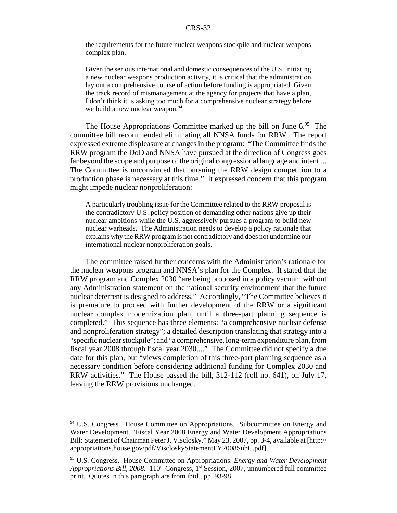the requirements for the future nuclear weapons stockpile and nuclear weapons complex plan.

Given the serious international and domestic consequences of the U.S. initiating a new nuclear weapons production activity, it is critical that the administration lay out a comprehensive course of action before funding is appropriated. Given the track record of mismanagement at the agency for projects that have a plan, I don't think it is asking too much for a comprehensive nuclear strategy before we build a new nuclear weapon.<sup>94</sup>

The House Appropriations Committee marked up the bill on June  $6<sup>95</sup>$  The committee bill recommended eliminating all NNSA funds for RRW. The report expressed extreme displeasure at changes in the program: "The Committee finds the RRW program the DoD and NNSA have pursued at the direction of Congress goes far beyond the scope and purpose of the original congressional language and intent.... The Committee is unconvinced that pursuing the RRW design competition to a production phase is necessary at this time." It expressed concern that this program might impede nuclear nonproliferation:

A particularly troubling issue for the Committee related to the RRW proposal is the contradictory U.S. policy position of demanding other nations give up their nuclear ambitions while the U.S. aggressively pursues a program to build new nuclear warheads. The Administration needs to develop a policy rationale that explains why the RRW program is not contradictory and does not undermine our international nuclear nonproliferation goals.

The committee raised further concerns with the Administration's rationale for the nuclear weapons program and NNSA's plan for the Complex. It stated that the RRW program and Complex 2030 "are being proposed in a policy vacuum without any Administration statement on the national security environment that the future nuclear deterrent is designed to address." Accordingly, "The Committee believes it is premature to proceed with further development of the RRW or a significant nuclear complex modernization plan, until a three-part planning sequence is completed." This sequence has three elements: "a comprehensive nuclear defense and nonproliferation strategy"; a detailed description translating that strategy into a "specific nuclear stockpile"; and "a comprehensive, long-term expenditure plan, from fiscal year 2008 through fiscal year 2030...." The Committee did not specify a due date for this plan, but "views completion of this three-part planning sequence as a necessary condition before considering additional funding for Complex 2030 and RRW activities." The House passed the bill, 312-112 (roll no. 641), on July 17, leaving the RRW provisions unchanged.

 $94$  U.S. Congress. House Committee on Appropriations. Subcommittee on Energy and Water Development. "Fiscal Year 2008 Energy and Water Development Appropriations Bill: Statement of Chairman Peter J. Visclosky," May 23, 2007, pp. 3-4, available at [http:// appropriations.house.gov/pdf/ViscloskyStatementFY2008SubC.pdf].

<sup>95</sup> U.S. Congress. House Committee on Appropriations. *Energy and Water Development Appropriations Bill, 2008.* 110<sup>th</sup> Congress, 1<sup>st</sup> Session, 2007, unnumbered full committee print. Quotes in this paragraph are from ibid., pp. 93-98.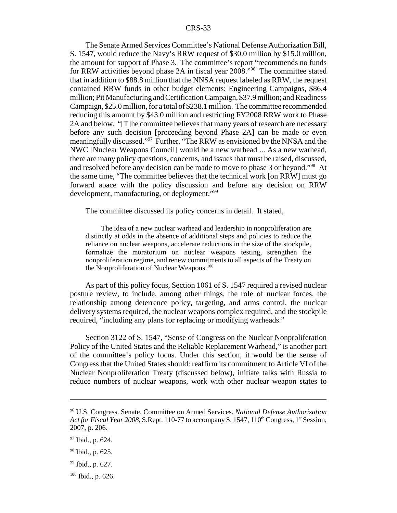The Senate Armed Services Committee's National Defense Authorization Bill, S. 1547, would reduce the Navy's RRW request of \$30.0 million by \$15.0 million, the amount for support of Phase 3. The committee's report "recommends no funds for RRW activities beyond phase 2A in fiscal year 2008."96 The committee stated that in addition to \$88.8 million that the NNSA request labeled as RRW, the request contained RRW funds in other budget elements: Engineering Campaigns, \$86.4 million; Pit Manufacturing and Certification Campaign, \$37.9 million; and Readiness Campaign, \$25.0 million, for a total of \$238.1 million. The committee recommended reducing this amount by \$43.0 million and restricting FY2008 RRW work to Phase 2A and below. "[T]he committee believes that many years of research are necessary before any such decision [proceeding beyond Phase 2A] can be made or even meaningfully discussed."<sup>97</sup> Further, "The RRW as envisioned by the NNSA and the NWC [Nuclear Weapons Council] would be a new warhead ... As a new warhead, there are many policy questions, concerns, and issues that must be raised, discussed, and resolved before any decision can be made to move to phase 3 or beyond."<sup>98</sup> At the same time, "The committee believes that the technical work [on RRW] must go forward apace with the policy discussion and before any decision on RRW development, manufacturing, or deployment."<sup>99</sup>

The committee discussed its policy concerns in detail. It stated,

The idea of a new nuclear warhead and leadership in nonproliferation are distinctly at odds in the absence of additional steps and policies to reduce the reliance on nuclear weapons, accelerate reductions in the size of the stockpile, formalize the moratorium on nuclear weapons testing, strengthen the nonproliferation regime, and renew commitments to all aspects of the Treaty on the Nonproliferation of Nuclear Weapons.<sup>100</sup>

As part of this policy focus, Section 1061 of S. 1547 required a revised nuclear posture review, to include, among other things, the role of nuclear forces, the relationship among deterrence policy, targeting, and arms control, the nuclear delivery systems required, the nuclear weapons complex required, and the stockpile required, "including any plans for replacing or modifying warheads."

Section 3122 of S. 1547, "Sense of Congress on the Nuclear Nonproliferation Policy of the United States and the Reliable Replacement Warhead," is another part of the committee's policy focus. Under this section, it would be the sense of Congress that the United States should: reaffirm its commitment to Article VI of the Nuclear Nonproliferation Treaty (discussed below), initiate talks with Russia to reduce numbers of nuclear weapons, work with other nuclear weapon states to

<sup>96</sup> U.S. Congress. Senate. Committee on Armed Services. *National Defense Authorization Act for Fiscal Year 2008, S.Rept. 110-77 to accompany S. 1547, 110<sup>th</sup> Congress, 1<sup>st</sup> Session,* 2007, p. 206.

<sup>&</sup>lt;sup>97</sup> Ibid., p. 624.

<sup>98</sup> Ibid., p. 625.

<sup>99</sup> Ibid., p. 627.

 $100$  Ibid., p. 626.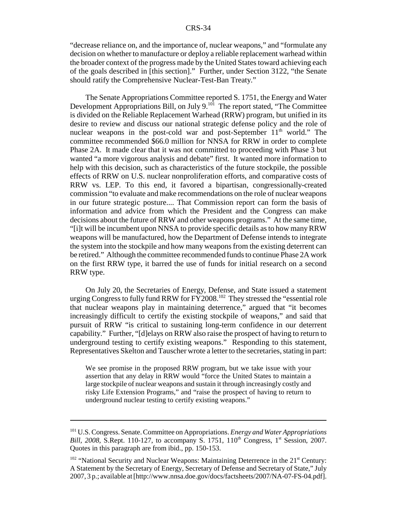"decrease reliance on, and the importance of, nuclear weapons," and "formulate any decision on whether to manufacture or deploy a reliable replacement warhead within the broader context of the progress made by the United States toward achieving each of the goals described in [this section]." Further, under Section 3122, "the Senate should ratify the Comprehensive Nuclear-Test-Ban Treaty."

The Senate Appropriations Committee reported S. 1751, the Energy and Water Development Appropriations Bill, on July 9.<sup>101</sup> The report stated, "The Committee" is divided on the Reliable Replacement Warhead (RRW) program, but unified in its desire to review and discuss our national strategic defense policy and the role of nuclear weapons in the post-cold war and post-September  $11<sup>th</sup>$  world." The committee recommended \$66.0 million for NNSA for RRW in order to complete Phase 2A. It made clear that it was not committed to proceeding with Phase 3 but wanted "a more vigorous analysis and debate" first. It wanted more information to help with this decision, such as characteristics of the future stockpile, the possible effects of RRW on U.S. nuclear nonproliferation efforts, and comparative costs of RRW vs. LEP. To this end, it favored a bipartisan, congressionally-created commission "to evaluate and make recommendations on the role of nuclear weapons in our future strategic posture.... That Commission report can form the basis of information and advice from which the President and the Congress can make decisions about the future of RRW and other weapons programs." At the same time, "[i]t will be incumbent upon NNSA to provide specific details as to how many RRW weapons will be manufactured, how the Department of Defense intends to integrate the system into the stockpile and how many weapons from the existing deterrent can be retired." Although the committee recommended funds to continue Phase 2A work on the first RRW type, it barred the use of funds for initial research on a second RRW type.

On July 20, the Secretaries of Energy, Defense, and State issued a statement urging Congress to fully fund RRW for FY2008.<sup>102</sup> They stressed the "essential role" that nuclear weapons play in maintaining deterrence," argued that "it becomes increasingly difficult to certify the existing stockpile of weapons," and said that pursuit of RRW "is critical to sustaining long-term confidence in our deterrent capability." Further, "[d]elays on RRW also raise the prospect of having to return to underground testing to certify existing weapons." Responding to this statement, Representatives Skelton and Tauscher wrote a letter to the secretaries, stating in part:

We see promise in the proposed RRW program, but we take issue with your assertion that any delay in RRW would "force the United States to maintain a large stockpile of nuclear weapons and sustain it through increasingly costly and risky Life Extension Programs," and "raise the prospect of having to return to underground nuclear testing to certify existing weapons."

<sup>101</sup> U.S. Congress. Senate. Committee on Appropriations. *Energy and Water Appropriations Bill, 2008, S.Rept. 110-127, to accompany S. 1751, 110<sup>th</sup> Congress, 1<sup>st</sup> Session, 2007.* Quotes in this paragraph are from ibid., pp. 150-153.

 $102$  "National Security and Nuclear Weapons: Maintaining Deterrence in the  $21<sup>st</sup>$  Century: A Statement by the Secretary of Energy, Secretary of Defense and Secretary of State," July 2007, 3 p.; available at [http://www.nnsa.doe.gov/docs/factsheets/2007/NA-07-FS-04.pdf].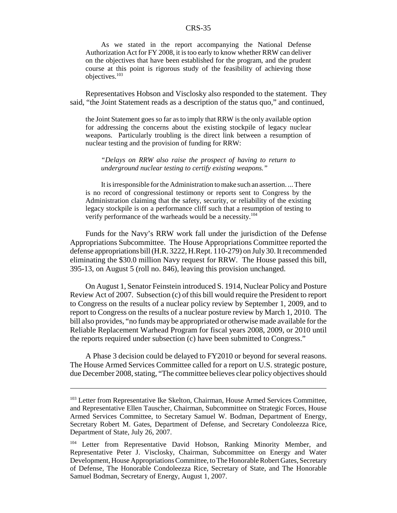As we stated in the report accompanying the National Defense Authorization Act for FY 2008, it is too early to know whether RRW can deliver on the objectives that have been established for the program, and the prudent course at this point is rigorous study of the feasibility of achieving those objectives.103

Representatives Hobson and Visclosky also responded to the statement. They said, "the Joint Statement reads as a description of the status quo," and continued,

the Joint Statement goes so far as to imply that RRW is the only available option for addressing the concerns about the existing stockpile of legacy nuclear weapons. Particularly troubling is the direct link between a resumption of nuclear testing and the provision of funding for RRW:

*"Delays on RRW also raise the prospect of having to return to underground nuclear testing to certify existing weapons."*

It is irresponsible for the Administration to make such an assertion. ... There is no record of congressional testimony or reports sent to Congress by the Administration claiming that the safety, security, or reliability of the existing legacy stockpile is on a performance cliff such that a resumption of testing to verify performance of the warheads would be a necessity.<sup>104</sup>

Funds for the Navy's RRW work fall under the jurisdiction of the Defense Appropriations Subcommittee. The House Appropriations Committee reported the defense appropriations bill (H.R. 3222, H.Rept. 110-279) on July 30. It recommended eliminating the \$30.0 million Navy request for RRW. The House passed this bill, 395-13, on August 5 (roll no. 846), leaving this provision unchanged.

On August 1, Senator Feinstein introduced S. 1914, Nuclear Policy and Posture Review Act of 2007. Subsection (c) of this bill would require the President to report to Congress on the results of a nuclear policy review by September 1, 2009, and to report to Congress on the results of a nuclear posture review by March 1, 2010. The bill also provides, "no funds may be appropriated or otherwise made available for the Reliable Replacement Warhead Program for fiscal years 2008, 2009, or 2010 until the reports required under subsection (c) have been submitted to Congress."

A Phase 3 decision could be delayed to FY2010 or beyond for several reasons. The House Armed Services Committee called for a report on U.S. strategic posture, due December 2008, stating, "The committee believes clear policy objectives should

<sup>&</sup>lt;sup>103</sup> Letter from Representative Ike Skelton, Chairman, House Armed Services Committee, and Representative Ellen Tauscher, Chairman, Subcommittee on Strategic Forces, House Armed Services Committee, to Secretary Samuel W. Bodman, Department of Energy, Secretary Robert M. Gates, Department of Defense, and Secretary Condoleezza Rice, Department of State, July 26, 2007.

<sup>&</sup>lt;sup>104</sup> Letter from Representative David Hobson, Ranking Minority Member, and Representative Peter J. Visclosky, Chairman, Subcommittee on Energy and Water Development, House Appropriations Committee, to The Honorable Robert Gates, Secretary of Defense, The Honorable Condoleezza Rice, Secretary of State, and The Honorable Samuel Bodman, Secretary of Energy, August 1, 2007.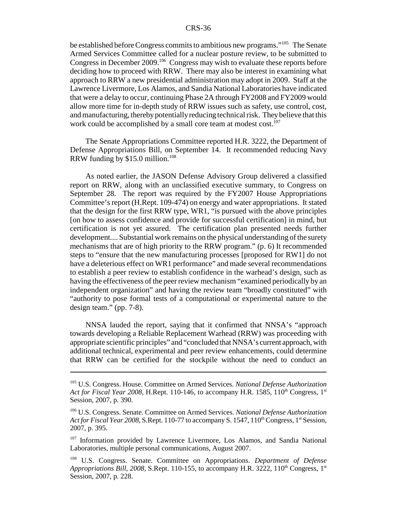be established before Congress commits to ambitious new programs."105 The Senate Armed Services Committee called for a nuclear posture review, to be submitted to Congress in December 2009.<sup>106</sup> Congress may wish to evaluate these reports before deciding how to proceed with RRW. There may also be interest in examining what approach to RRW a new presidential administration may adopt in 2009. Staff at the Lawrence Livermore, Los Alamos, and Sandia National Laboratories have indicated that were a delay to occur, continuing Phase 2A through FY2008 and FY2009 would allow more time for in-depth study of RRW issues such as safety, use control, cost, and manufacturing, thereby potentially reducing technical risk. They believe that this work could be accomplished by a small core team at modest cost.<sup>107</sup>

The Senate Appropriations Committee reported H.R. 3222, the Department of Defense Appropriations Bill, on September 14. It recommended reducing Navy RRW funding by  $$15.0$  million.<sup>108</sup>

As noted earlier, the JASON Defense Advisory Group delivered a classified report on RRW, along with an unclassified executive summary, to Congress on September 28. The report was required by the FY2007 House Appropriations Committee's report (H.Rept. 109-474) on energy and water appropriations. It stated that the design for the first RRW type, WR1, "is pursued with the above principles [on how to assess confidence and provide for successful certification] in mind, but certification is not yet assured. The certification plan presented needs further development.... Substantial work remains on the physical understanding of the surety mechanisms that are of high priority to the RRW program." (p. 6) It recommended steps to "ensure that the new manufacturing processes [proposed for RW1] do not have a deleterious effect on WR1 performance" and made several recommendations to establish a peer review to establish confidence in the warhead's design, such as having the effectiveness of the peer review mechanism "examined periodically by an independent organization" and having the review team "broadly constituted" with "authority to pose formal tests of a computational or experimental nature to the design team." (pp. 7-8).

NNSA lauded the report, saying that it confirmed that NNSA's "approach towards developing a Reliable Replacement Warhead (RRW) was proceeding with appropriate scientific principles" and "concluded that NNSA's current approach, with additional technical, experimental and peer review enhancements, could determine that RRW can be certified for the stockpile without the need to conduct an

<sup>105</sup> U.S. Congress. House. Committee on Armed Services. *National Defense Authorization Act for Fiscal Year 2008, H.Rept. 110-146, to accompany H.R. 1585, 110<sup>th</sup> Congress, 1<sup>st</sup>* Session, 2007, p. 390.

<sup>106</sup> U.S. Congress. Senate. Committee on Armed Services. *National Defense Authorization Act for Fiscal Year 2008, S.Rept. 110-77 to accompany S. 1547, 110<sup>th</sup> Congress, 1<sup>st</sup> Session,* 2007, p. 395.

<sup>&</sup>lt;sup>107</sup> Information provided by Lawrence Livermore, Los Alamos, and Sandia National Laboratories, multiple personal communications, August 2007.

<sup>108</sup> U.S. Congress. Senate. Committee on Appropriations. *Department of Defense Appropriations Bill, 2008, S.Rept.* 110-155, to accompany H.R. 3222,  $110^{th}$  Congress,  $1^{st}$ Session, 2007, p. 228.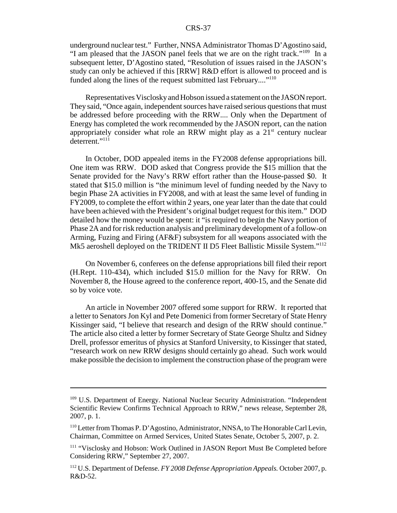underground nuclear test." Further, NNSA Administrator Thomas D'Agostino said, "I am pleased that the JASON panel feels that we are on the right track."109 In a subsequent letter, D'Agostino stated, "Resolution of issues raised in the JASON's study can only be achieved if this [RRW] R&D effort is allowed to proceed and is funded along the lines of the request submitted last February...."<sup>110</sup>

Representatives Visclosky and Hobson issued a statement on the JASON report. They said, "Once again, independent sources have raised serious questions that must be addressed before proceeding with the RRW.... Only when the Department of Energy has completed the work recommended by the JASON report, can the nation appropriately consider what role an RRW might play as a  $21<sup>st</sup>$  century nuclear deterrent."<sup>111</sup>

In October, DOD appealed items in the FY2008 defense appropriations bill. One item was RRW. DOD asked that Congress provide the \$15 million that the Senate provided for the Navy's RRW effort rather than the House-passed \$0. It stated that \$15.0 million is "the minimum level of funding needed by the Navy to begin Phase 2A activities in FY2008, and with at least the same level of funding in FY2009, to complete the effort within 2 years, one year later than the date that could have been achieved with the President's original budget request for this item." DOD detailed how the money would be spent: it "is required to begin the Navy portion of Phase 2A and for risk reduction analysis and preliminary development of a follow-on Arming, Fuzing and Firing (AF&F) subsystem for all weapons associated with the Mk5 aeroshell deployed on the TRIDENT II D5 Fleet Ballistic Missile System."<sup>112</sup>

On November 6, conferees on the defense appropriations bill filed their report (H.Rept. 110-434), which included \$15.0 million for the Navy for RRW. On November 8, the House agreed to the conference report, 400-15, and the Senate did so by voice vote.

An article in November 2007 offered some support for RRW. It reported that a letter to Senators Jon Kyl and Pete Domenici from former Secretary of State Henry Kissinger said, "I believe that research and design of the RRW should continue." The article also cited a letter by former Secretary of State George Shultz and Sidney Drell, professor emeritus of physics at Stanford University, to Kissinger that stated, "research work on new RRW designs should certainly go ahead. Such work would make possible the decision to implement the construction phase of the program were

<sup>&</sup>lt;sup>109</sup> U.S. Department of Energy. National Nuclear Security Administration. "Independent Scientific Review Confirms Technical Approach to RRW," news release, September 28, 2007, p. 1.

<sup>110</sup> Letter from Thomas P. D'Agostino, Administrator, NNSA, to The Honorable Carl Levin, Chairman, Committee on Armed Services, United States Senate, October 5, 2007, p. 2.

<sup>&</sup>lt;sup>111</sup> "Visclosky and Hobson: Work Outlined in JASON Report Must Be Completed before Considering RRW," September 27, 2007.

<sup>112</sup> U.S. Department of Defense. *FY 2008 Defense Appropriation Appeals.* October 2007, p. R&D-52.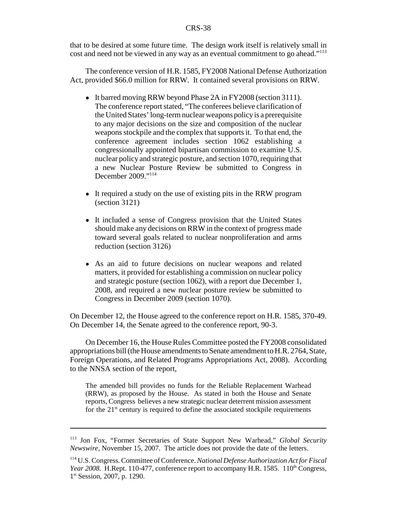that to be desired at some future time. The design work itself is relatively small in cost and need not be viewed in any way as an eventual commitment to go ahead."113

The conference version of H.R. 1585, FY2008 National Defense Authorization Act, provided \$66.0 million for RRW. It contained several provisions on RRW.

- It barred moving RRW beyond Phase 2A in FY2008 (section 3111). The conference report stated, "The conferees believe clarification of the United States' long-term nuclear weapons policy is a prerequisite to any major decisions on the size and composition of the nuclear weapons stockpile and the complex that supports it. To that end, the conference agreement includes section 1062 establishing a congressionally appointed bipartisan commission to examine U.S. nuclear policy and strategic posture, and section 1070, requiring that a new Nuclear Posture Review be submitted to Congress in December 2009."114
- It required a study on the use of existing pits in the RRW program (section 3121)
- It included a sense of Congress provision that the United States should make any decisions on RRW in the context of progress made toward several goals related to nuclear nonproliferation and arms reduction (section 3126)
- ! As an aid to future decisions on nuclear weapons and related matters, it provided for establishing a commission on nuclear policy and strategic posture (section 1062), with a report due December 1, 2008, and required a new nuclear posture review be submitted to Congress in December 2009 (section 1070).

On December 12, the House agreed to the conference report on H.R. 1585, 370-49. On December 14, the Senate agreed to the conference report, 90-3.

On December 16, the House Rules Committee posted the FY2008 consolidated appropriations bill (the House amendments to Senate amendment to H.R. 2764, State, Foreign Operations, and Related Programs Appropriations Act, 2008). According to the NNSA section of the report,

The amended bill provides no funds for the Reliable Replacement Warhead (RRW), as proposed by the House. As stated in both the House and Senate reports, Congress believes a new strategic nuclear deterrent mission assessment for the  $21<sup>st</sup>$  century is required to define the associated stockpile requirements

<sup>113</sup> Jon Fox, "Former Secretaries of State Support New Warhead," *Global Security Newswire,* November 15, 2007. The article does not provide the date of the letters.

<sup>114</sup> U.S. Congress. Committee of Conference. *National Defense Authorization Act for Fiscal Year 2008.* H.Rept. 110-477, conference report to accompany H.R. 1585. 110<sup>th</sup> Congress, 1<sup>st</sup> Session, 2007, p. 1290.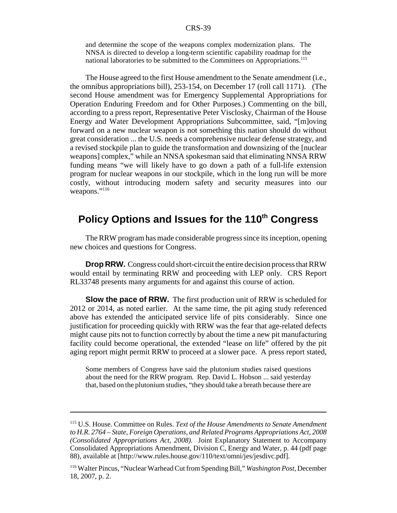and determine the scope of the weapons complex modernization plans. The NNSA is directed to develop a long-term scientific capability roadmap for the national laboratories to be submitted to the Committees on Appropriations.<sup>115</sup>

The House agreed to the first House amendment to the Senate amendment (i.e., the omnibus appropriations bill), 253-154, on December 17 (roll call 1171). (The second House amendment was for Emergency Supplemental Appropriations for Operation Enduring Freedom and for Other Purposes.) Commenting on the bill, according to a press report, Representative Peter Visclosky, Chairman of the House Energy and Water Development Appropriations Subcommittee, said, "[m]oving forward on a new nuclear weapon is not something this nation should do without great consideration ... the U.S. needs a comprehensive nuclear defense strategy, and a revised stockpile plan to guide the transformation and downsizing of the [nuclear weapons] complex," while an NNSA spokesman said that eliminating NNSA RRW funding means "we will likely have to go down a path of a full-life extension program for nuclear weapons in our stockpile, which in the long run will be more costly, without introducing modern safety and security measures into our weapons."<sup>116</sup>

# Policy Options and Issues for the 110<sup>th</sup> Congress

The RRW program has made considerable progress since its inception, opening new choices and questions for Congress.

**Drop RRW.** Congress could short-circuit the entire decision process that RRW would entail by terminating RRW and proceeding with LEP only. CRS Report RL33748 presents many arguments for and against this course of action.

**Slow the pace of RRW.** The first production unit of RRW is scheduled for 2012 or 2014, as noted earlier. At the same time, the pit aging study referenced above has extended the anticipated service life of pits considerably. Since one justification for proceeding quickly with RRW was the fear that age-related defects might cause pits not to function correctly by about the time a new pit manufacturing facility could become operational, the extended "lease on life" offered by the pit aging report might permit RRW to proceed at a slower pace. A press report stated,

Some members of Congress have said the plutonium studies raised questions about the need for the RRW program. Rep. David L. Hobson ... said yesterday that, based on the plutonium studies, "they should take a breath because there are

<sup>115</sup> U.S. House. Committee on Rules. *Text of the House Amendments to Senate Amendment to H.R. 2764 – State, Foreign Operations, and Related Programs Appropriations Act, 2008 (Consolidated Appropriations Act, 2008).* Joint Explanatory Statement to Accompany Consolidated Appropriations Amendment, Division C, Energy and Water, p. 44 (pdf page 88), available at [http://www.rules.house.gov/110/text/omni/jes/jesdivc.pdf].

<sup>116</sup> Walter Pincus, "Nuclear Warhead Cut from Spending Bill," *Washington Post,* December 18, 2007, p. 2.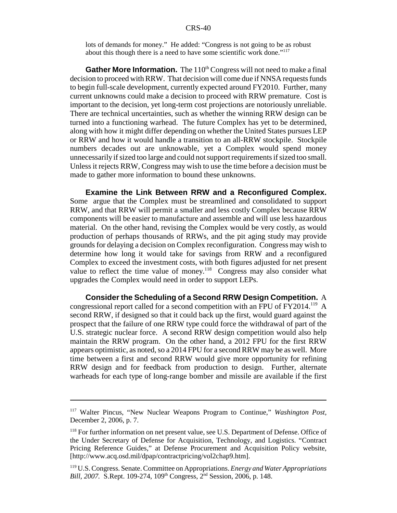lots of demands for money." He added: "Congress is not going to be as robust about this though there is a need to have some scientific work done."117

**Gather More Information.** The 110<sup>th</sup> Congress will not need to make a final decision to proceed with RRW. That decision will come due if NNSA requests funds to begin full-scale development, currently expected around FY2010. Further, many current unknowns could make a decision to proceed with RRW premature. Cost is important to the decision, yet long-term cost projections are notoriously unreliable. There are technical uncertainties, such as whether the winning RRW design can be turned into a functioning warhead. The future Complex has yet to be determined, along with how it might differ depending on whether the United States pursues LEP or RRW and how it would handle a transition to an all-RRW stockpile. Stockpile numbers decades out are unknowable, yet a Complex would spend money unnecessarily if sized too large and could not support requirements if sized too small. Unless it rejects RRW, Congress may wish to use the time before a decision must be made to gather more information to bound these unknowns.

**Examine the Link Between RRW and a Reconfigured Complex.** Some argue that the Complex must be streamlined and consolidated to support RRW, and that RRW will permit a smaller and less costly Complex because RRW components will be easier to manufacture and assemble and will use less hazardous material. On the other hand, revising the Complex would be very costly, as would production of perhaps thousands of RRWs, and the pit aging study may provide grounds for delaying a decision on Complex reconfiguration. Congress may wish to determine how long it would take for savings from RRW and a reconfigured Complex to exceed the investment costs, with both figures adjusted for net present value to reflect the time value of money.<sup>118</sup> Congress may also consider what upgrades the Complex would need in order to support LEPs.

**Consider the Scheduling of a Second RRW Design Competition.** A congressional report called for a second competition with an FPU of FY2014.119 A second RRW, if designed so that it could back up the first, would guard against the prospect that the failure of one RRW type could force the withdrawal of part of the U.S. strategic nuclear force. A second RRW design competition would also help maintain the RRW program. On the other hand, a 2012 FPU for the first RRW appears optimistic, as noted, so a 2014 FPU for a second RRW may be as well. More time between a first and second RRW would give more opportunity for refining RRW design and for feedback from production to design. Further, alternate warheads for each type of long-range bomber and missile are available if the first

<sup>117</sup> Walter Pincus, "New Nuclear Weapons Program to Continue," *Washington Post,* December 2, 2006, p. 7.

<sup>&</sup>lt;sup>118</sup> For further information on net present value, see U.S. Department of Defense. Office of the Under Secretary of Defense for Acquisition, Technology, and Logistics. "Contract Pricing Reference Guides," at Defense Procurement and Acquisition Policy website, [http://www.acq.osd.mil/dpap/contractpricing/vol2chap9.htm].

<sup>119</sup> U.S. Congress. Senate. Committee on Appropriations. *Energy and Water Appropriations Bill, 2007.* S.Rept. 109-274, 109<sup>th</sup> Congress, 2<sup>nd</sup> Session, 2006, p. 148.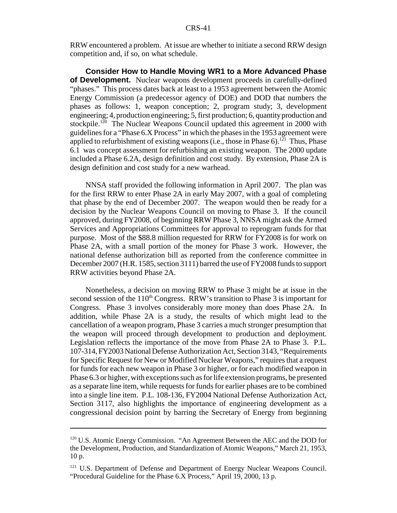RRW encountered a problem. At issue are whether to initiate a second RRW design competition and, if so, on what schedule.

**Consider How to Handle Moving WR1 to a More Advanced Phase of Development.** Nuclear weapons development proceeds in carefully-defined "phases." This process dates back at least to a 1953 agreement between the Atomic Energy Commission (a predecessor agency of DOE) and DOD that numbers the phases as follows: 1, weapon conception; 2, program study; 3, development engineering; 4, production engineering; 5, first production; 6, quantity production and stockpile.<sup>120</sup> The Nuclear Weapons Council updated this agreement in 2000 with guidelines for a "Phase 6.X Process" in which the phases in the 1953 agreement were applied to refurbishment of existing weapons (i.e., those in Phase  $6$ ).<sup>121</sup> Thus, Phase 6.1 was concept assessment for refurbishing an existing weapon. The 2000 update included a Phase 6.2A, design definition and cost study. By extension, Phase 2A is design definition and cost study for a new warhead.

NNSA staff provided the following information in April 2007. The plan was for the first RRW to enter Phase 2A in early May 2007, with a goal of completing that phase by the end of December 2007. The weapon would then be ready for a decision by the Nuclear Weapons Council on moving to Phase 3. If the council approved, during FY2008, of beginning RRW Phase 3, NNSA might ask the Armed Services and Appropriations Committees for approval to reprogram funds for that purpose. Most of the \$88.8 million requested for RRW for FY2008 is for work on Phase 2A, with a small portion of the money for Phase 3 work. However, the national defense authorization bill as reported from the conference committee in December 2007 (H.R. 1585, section 3111) barred the use of FY2008 funds to support RRW activities beyond Phase 2A.

Nonetheless, a decision on moving RRW to Phase 3 might be at issue in the second session of the  $110<sup>th</sup>$  Congress. RRW's transition to Phase 3 is important for Congress. Phase 3 involves considerably more money than does Phase 2A. In addition, while Phase 2A is a study, the results of which might lead to the cancellation of a weapon program, Phase 3 carries a much stronger presumption that the weapon will proceed through development to production and deployment. Legislation reflects the importance of the move from Phase 2A to Phase 3. P.L. 107-314, FY2003 National Defense Authorization Act, Section 3143, "Requirements for Specific Request for New or Modified Nuclear Weapons," requires that a request for funds for each new weapon in Phase 3 or higher, or for each modified weapon in Phase 6.3 or higher, with exceptions such as for life extension programs, be presented as a separate line item, while requests for funds for earlier phases are to be combined into a single line item. P.L. 108-136, FY2004 National Defense Authorization Act, Section 3117, also highlights the importance of engineering development as a congressional decision point by barring the Secretary of Energy from beginning

 $120$  U.S. Atomic Energy Commission. "An Agreement Between the AEC and the DOD for the Development, Production, and Standardization of Atomic Weapons," March 21, 1953, 10 p.

<sup>&</sup>lt;sup>121</sup> U.S. Department of Defense and Department of Energy Nuclear Weapons Council. "Procedural Guideline for the Phase 6.X Process," April 19, 2000, 13 p.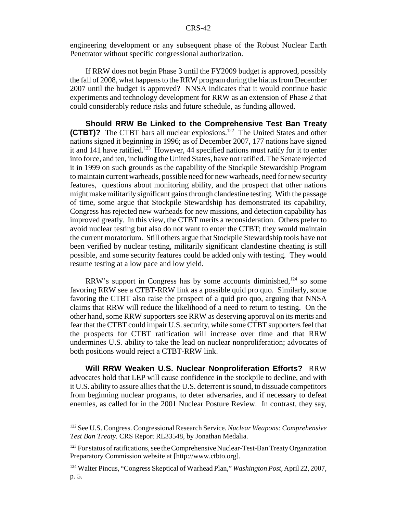engineering development or any subsequent phase of the Robust Nuclear Earth Penetrator without specific congressional authorization.

If RRW does not begin Phase 3 until the FY2009 budget is approved, possibly the fall of 2008, what happens to the RRW program during the hiatus from December 2007 until the budget is approved? NNSA indicates that it would continue basic experiments and technology development for RRW as an extension of Phase 2 that could considerably reduce risks and future schedule, as funding allowed.

**Should RRW Be Linked to the Comprehensive Test Ban Treaty (CTBT)?** The CTBT bars all nuclear explosions.<sup>122</sup> The United States and other nations signed it beginning in 1996; as of December 2007, 177 nations have signed it and 141 have ratified.<sup>123</sup> However, 44 specified nations must ratify for it to enter into force, and ten, including the United States, have not ratified. The Senate rejected it in 1999 on such grounds as the capability of the Stockpile Stewardship Program to maintain current warheads, possible need for new warheads, need for new security features, questions about monitoring ability, and the prospect that other nations might make militarily significant gains through clandestine testing. With the passage of time, some argue that Stockpile Stewardship has demonstrated its capability, Congress has rejected new warheads for new missions, and detection capability has improved greatly. In this view, the CTBT merits a reconsideration. Others prefer to avoid nuclear testing but also do not want to enter the CTBT; they would maintain the current moratorium. Still others argue that Stockpile Stewardship tools have not been verified by nuclear testing, militarily significant clandestine cheating is still possible, and some security features could be added only with testing. They would resume testing at a low pace and low yield.

RRW's support in Congress has by some accounts diminished, $124$  so some favoring RRW see a CTBT-RRW link as a possible quid pro quo. Similarly, some favoring the CTBT also raise the prospect of a quid pro quo, arguing that NNSA claims that RRW will reduce the likelihood of a need to return to testing. On the other hand, some RRW supporters see RRW as deserving approval on its merits and fear that the CTBT could impair U.S. security, while some CTBT supporters feel that the prospects for CTBT ratification will increase over time and that RRW undermines U.S. ability to take the lead on nuclear nonproliferation; advocates of both positions would reject a CTBT-RRW link.

**Will RRW Weaken U.S. Nuclear Nonproliferation Efforts?** RRW advocates hold that LEP will cause confidence in the stockpile to decline, and with it U.S. ability to assure allies that the U.S. deterrent is sound, to dissuade competitors from beginning nuclear programs, to deter adversaries, and if necessary to defeat enemies, as called for in the 2001 Nuclear Posture Review. In contrast, they say,

<sup>122</sup> See U.S. Congress. Congressional Research Service. *Nuclear Weapons: Comprehensive Test Ban Treaty.* CRS Report RL33548, by Jonathan Medalia.

<sup>&</sup>lt;sup>123</sup> For status of ratifications, see the Comprehensive Nuclear-Test-Ban Treaty Organization Preparatory Commission website at [http://www.ctbto.org].

<sup>124</sup> Walter Pincus, "Congress Skeptical of Warhead Plan," *Washington Post,* April 22, 2007, p. 5.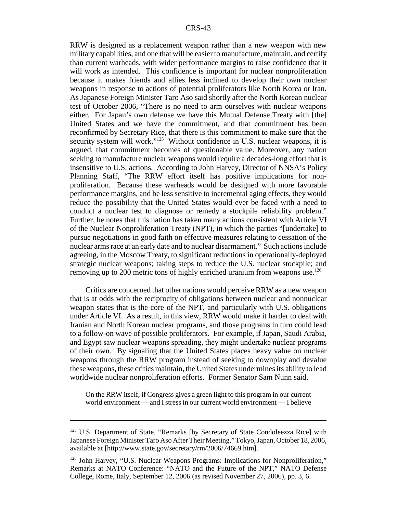RRW is designed as a replacement weapon rather than a new weapon with new military capabilities, and one that will be easier to manufacture, maintain, and certify than current warheads, with wider performance margins to raise confidence that it will work as intended. This confidence is important for nuclear nonproliferation because it makes friends and allies less inclined to develop their own nuclear weapons in response to actions of potential proliferators like North Korea or Iran. As Japanese Foreign Minister Taro Aso said shortly after the North Korean nuclear test of October 2006, "There is no need to arm ourselves with nuclear weapons either. For Japan's own defense we have this Mutual Defense Treaty with [the] United States and we have the commitment, and that commitment has been reconfirmed by Secretary Rice, that there is this commitment to make sure that the security system will work." $125$  Without confidence in U.S. nuclear weapons, it is argued, that commitment becomes of questionable value. Moreover, any nation seeking to manufacture nuclear weapons would require a decades-long effort that is insensitive to U.S. actions. According to John Harvey, Director of NNSA's Policy Planning Staff, "The RRW effort itself has positive implications for nonproliferation. Because these warheads would be designed with more favorable performance margins, and be less sensitive to incremental aging effects, they would reduce the possibility that the United States would ever be faced with a need to conduct a nuclear test to diagnose or remedy a stockpile reliability problem." Further, he notes that this nation has taken many actions consistent with Article VI of the Nuclear Nonproliferation Treaty (NPT), in which the parties "[undertake] to pursue negotiations in good faith on effective measures relating to cessation of the nuclear arms race at an early date and to nuclear disarmament." Such actions include agreeing, in the Moscow Treaty, to significant reductions in operationally-deployed strategic nuclear weapons; taking steps to reduce the U.S. nuclear stockpile; and removing up to 200 metric tons of highly enriched uranium from weapons use.<sup>126</sup>

Critics are concerned that other nations would perceive RRW as a new weapon that is at odds with the reciprocity of obligations between nuclear and nonnuclear weapon states that is the core of the NPT, and particularly with U.S. obligations under Article VI. As a result, in this view, RRW would make it harder to deal with Iranian and North Korean nuclear programs, and those programs in turn could lead to a follow-on wave of possible proliferators. For example, if Japan, Saudi Arabia, and Egypt saw nuclear weapons spreading, they might undertake nuclear programs of their own. By signaling that the United States places heavy value on nuclear weapons through the RRW program instead of seeking to downplay and devalue these weapons, these critics maintain, the United States undermines its ability to lead worldwide nuclear nonproliferation efforts. Former Senator Sam Nunn said,

On the RRW itself, if Congress gives a green light to this program in our current world environment — and I stress in our current world environment — I believe

<sup>&</sup>lt;sup>125</sup> U.S. Department of State. "Remarks [by Secretary of State Condoleezza Rice] with Japanese Foreign Minister Taro Aso After Their Meeting," Tokyo, Japan, October 18, 2006, available at [http://www.state.gov/secretary/rm/2006/74669.htm].

<sup>126</sup> John Harvey, "U.S. Nuclear Weapons Programs: Implications for Nonproliferation," Remarks at NATO Conference: "NATO and the Future of the NPT," NATO Defense College, Rome, Italy, September 12, 2006 (as revised November 27, 2006), pp. 3, 6.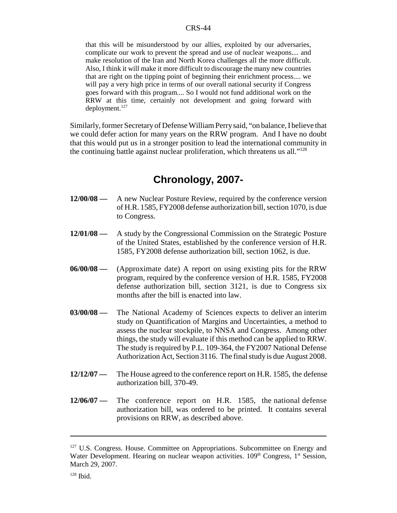that this will be misunderstood by our allies, exploited by our adversaries, complicate our work to prevent the spread and use of nuclear weapons.... and make resolution of the Iran and North Korea challenges all the more difficult. Also, I think it will make it more difficult to discourage the many new countries that are right on the tipping point of beginning their enrichment process.... we will pay a very high price in terms of our overall national security if Congress goes forward with this program.... So I would not fund additional work on the RRW at this time, certainly not development and going forward with deployment.<sup>127</sup>

Similarly, former Secretary of Defense William Perry said, "on balance, I believe that we could defer action for many years on the RRW program. And I have no doubt that this would put us in a stronger position to lead the international community in the continuing battle against nuclear proliferation, which threatens us all."128

# **Chronology, 2007-**

- **12/00/08** A new Nuclear Posture Review, required by the conference version of H.R. 1585, FY2008 defense authorization bill, section 1070, is due to Congress.
- **12/01/08** A study by the Congressional Commission on the Strategic Posture of the United States, established by the conference version of H.R. 1585, FY2008 defense authorization bill, section 1062, is due.
- **06/00/08** (Approximate date) A report on using existing pits for the RRW program, required by the conference version of H.R. 1585, FY2008 defense authorization bill, section 3121, is due to Congress six months after the bill is enacted into law.
- **03/00/08** The National Academy of Sciences expects to deliver an interim study on Quantification of Margins and Uncertainties, a method to assess the nuclear stockpile, to NNSA and Congress. Among other things, the study will evaluate if this method can be applied to RRW. The study is required by P.L. 109-364, the FY2007 National Defense Authorization Act, Section 3116. The final study is due August 2008.
- **12/12/07** The House agreed to the conference report on H.R. 1585, the defense authorization bill, 370-49.
- **12/06/07** The conference report on H.R. 1585, the national defense authorization bill, was ordered to be printed. It contains several provisions on RRW, as described above.

<sup>&</sup>lt;sup>127</sup> U.S. Congress. House. Committee on Appropriations. Subcommittee on Energy and Water Development. Hearing on nuclear weapon activities. 109<sup>th</sup> Congress, 1<sup>st</sup> Session, March 29, 2007.

 $128$  Ibid.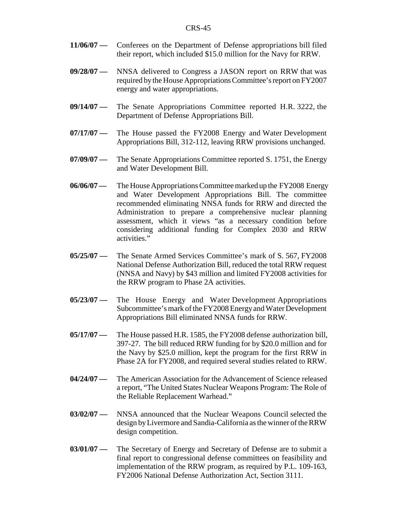- **11/06/07** Conferees on the Department of Defense appropriations bill filed their report, which included \$15.0 million for the Navy for RRW.
- **09/28/07** NNSA delivered to Congress a JASON report on RRW that was required by the House Appropriations Committee's report on FY2007 energy and water appropriations.
- **09/14/07** The Senate Appropriations Committee reported H.R. 3222, the Department of Defense Appropriations Bill.
- **07/17/07** The House passed the FY2008 Energy and Water Development Appropriations Bill, 312-112, leaving RRW provisions unchanged.
- **07/09/07** The Senate Appropriations Committee reported S. 1751, the Energy and Water Development Bill.
- **06/06/07** The House Appropriations Committee marked up the FY2008 Energy and Water Development Appropriations Bill. The committee recommended eliminating NNSA funds for RRW and directed the Administration to prepare a comprehensive nuclear planning assessment, which it views "as a necessary condition before considering additional funding for Complex 2030 and RRW activities."
- **05/25/07** The Senate Armed Services Committee's mark of S. 567, FY2008 National Defense Authorization Bill, reduced the total RRW request (NNSA and Navy) by \$43 million and limited FY2008 activities for the RRW program to Phase 2A activities.
- **05/23/07** The House Energy and Water Development Appropriations Subcommittee's mark of the FY2008 Energy and Water Development Appropriations Bill eliminated NNSA funds for RRW.
- **05/17/07** The House passed H.R. 1585, the FY2008 defense authorization bill, 397-27. The bill reduced RRW funding for by \$20.0 million and for the Navy by \$25.0 million, kept the program for the first RRW in Phase 2A for FY2008, and required several studies related to RRW.
- **04/24/07** The American Association for the Advancement of Science released a report, "The United States Nuclear Weapons Program: The Role of the Reliable Replacement Warhead."
- **03/02/07** NNSA announced that the Nuclear Weapons Council selected the design by Livermore and Sandia-California as the winner of the RRW design competition.
- **03/01/07** The Secretary of Energy and Secretary of Defense are to submit a final report to congressional defense committees on feasibility and implementation of the RRW program, as required by P.L. 109-163, FY2006 National Defense Authorization Act, Section 3111.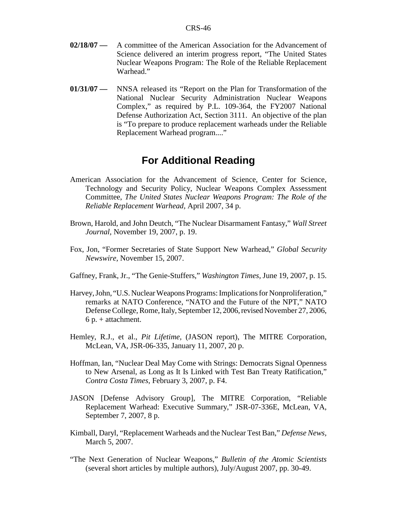- **02/18/07** A committee of the American Association for the Advancement of Science delivered an interim progress report, "The United States Nuclear Weapons Program: The Role of the Reliable Replacement Warhead."
- **01/31/07** NNSA released its "Report on the Plan for Transformation of the National Nuclear Security Administration Nuclear Weapons Complex," as required by P.L. 109-364, the FY2007 National Defense Authorization Act, Section 3111. An objective of the plan is "To prepare to produce replacement warheads under the Reliable Replacement Warhead program...."

# **For Additional Reading**

- American Association for the Advancement of Science, Center for Science, Technology and Security Policy, Nuclear Weapons Complex Assessment Committee, *The United States Nuclear Weapons Program: The Role of the Reliable Replacement Warhead,* April 2007, 34 p.
- Brown, Harold, and John Deutch, "The Nuclear Disarmament Fantasy," *Wall Street Journal,* November 19, 2007, p. 19.
- Fox, Jon, "Former Secretaries of State Support New Warhead," *Global Security Newswire,* November 15, 2007.
- Gaffney, Frank, Jr., "The Genie-Stuffers," *Washington Times,* June 19, 2007, p. 15.
- Harvey, John, "U.S. Nuclear Weapons Programs: Implications for Nonproliferation," remarks at NATO Conference, "NATO and the Future of the NPT," NATO Defense College, Rome, Italy, September 12, 2006, revised November 27, 2006, 6 p. + attachment.
- Hemley, R.J., et al., *Pit Lifetime,* (JASON report), The MITRE Corporation, McLean, VA, JSR-06-335, January 11, 2007, 20 p.
- Hoffman, Ian, "Nuclear Deal May Come with Strings: Democrats Signal Openness to New Arsenal, as Long as It Is Linked with Test Ban Treaty Ratification," *Contra Costa Times,* February 3, 2007, p. F4.
- JASON [Defense Advisory Group], The MITRE Corporation, "Reliable Replacement Warhead: Executive Summary," JSR-07-336E, McLean, VA, September 7, 2007, 8 p.
- Kimball, Daryl, "Replacement Warheads and the Nuclear Test Ban," *Defense News,* March 5, 2007.
- "The Next Generation of Nuclear Weapons," *Bulletin of the Atomic Scientists* (several short articles by multiple authors), July/August 2007, pp. 30-49.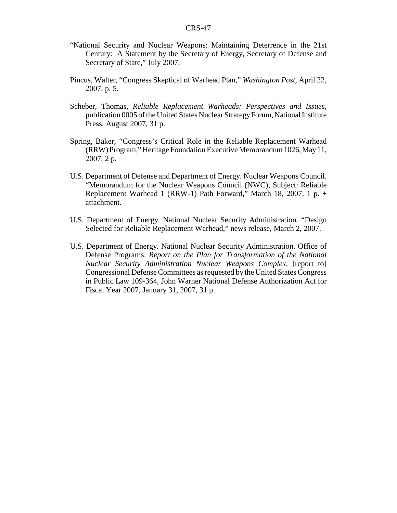- "National Security and Nuclear Weapons: Maintaining Deterrence in the 21st Century: A Statement by the Secretary of Energy, Secretary of Defense and Secretary of State," July 2007.
- Pincus, Walter, "Congress Skeptical of Warhead Plan," *Washington Post,* April 22, 2007, p. 5.
- Scheber, Thomas, *Reliable Replacement Warheads: Perspectives and Issues,* publication 0005 of the United States Nuclear Strategy Forum, National Institute Press, August 2007, 31 p.
- Spring, Baker, "Congress's Critical Role in the Reliable Replacement Warhead (RRW) Program," Heritage Foundation Executive Memorandum 1026, May 11, 2007, 2 p.
- U.S. Department of Defense and Department of Energy. Nuclear Weapons Council. "Memorandum for the Nuclear Weapons Council (NWC), Subject: Reliable Replacement Warhead 1 (RRW-1) Path Forward," March 18, 2007, 1 p. + attachment.
- U.S. Department of Energy. National Nuclear Security Administration. "Design Selected for Reliable Replacement Warhead," news release, March 2, 2007.
- U.S. Department of Energy. National Nuclear Security Administration. Office of Defense Programs. *Report on the Plan for Transformation of the National Nuclear Security Administration Nuclear Weapons Complex,* [report to] Congressional Defense Committees as requested by the United States Congress in Public Law 109-364, John Warner National Defense Authorization Act for Fiscal Year 2007, January 31, 2007, 31 p.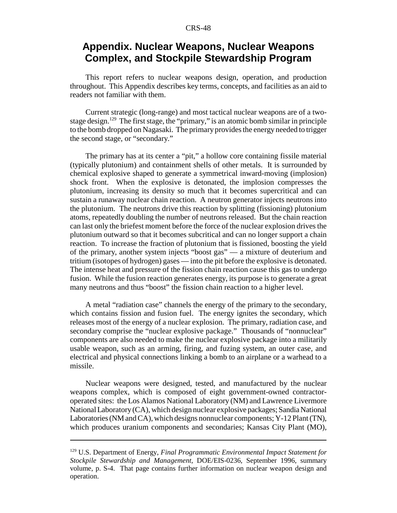# **Appendix. Nuclear Weapons, Nuclear Weapons Complex, and Stockpile Stewardship Program**

This report refers to nuclear weapons design, operation, and production throughout. This Appendix describes key terms, concepts, and facilities as an aid to readers not familiar with them.

Current strategic (long-range) and most tactical nuclear weapons are of a twostage design.<sup>129</sup> The first stage, the "primary," is an atomic bomb similar in principle to the bomb dropped on Nagasaki. The primary provides the energy needed to trigger the second stage, or "secondary."

The primary has at its center a "pit," a hollow core containing fissile material (typically plutonium) and containment shells of other metals. It is surrounded by chemical explosive shaped to generate a symmetrical inward-moving (implosion) shock front. When the explosive is detonated, the implosion compresses the plutonium, increasing its density so much that it becomes supercritical and can sustain a runaway nuclear chain reaction. A neutron generator injects neutrons into the plutonium. The neutrons drive this reaction by splitting (fissioning) plutonium atoms, repeatedly doubling the number of neutrons released. But the chain reaction can last only the briefest moment before the force of the nuclear explosion drives the plutonium outward so that it becomes subcritical and can no longer support a chain reaction. To increase the fraction of plutonium that is fissioned, boosting the yield of the primary, another system injects "boost gas" — a mixture of deuterium and tritium (isotopes of hydrogen) gases — into the pit before the explosive is detonated. The intense heat and pressure of the fission chain reaction cause this gas to undergo fusion. While the fusion reaction generates energy, its purpose is to generate a great many neutrons and thus "boost" the fission chain reaction to a higher level.

A metal "radiation case" channels the energy of the primary to the secondary, which contains fission and fusion fuel. The energy ignites the secondary, which releases most of the energy of a nuclear explosion. The primary, radiation case, and secondary comprise the "nuclear explosive package." Thousands of "nonnuclear" components are also needed to make the nuclear explosive package into a militarily usable weapon, such as an arming, firing, and fuzing system, an outer case, and electrical and physical connections linking a bomb to an airplane or a warhead to a missile.

Nuclear weapons were designed, tested, and manufactured by the nuclear weapons complex, which is composed of eight government-owned contractoroperated sites: the Los Alamos National Laboratory (NM) and Lawrence Livermore National Laboratory (CA), which design nuclear explosive packages; Sandia National Laboratories (NM and CA), which designs nonnuclear components; Y-12 Plant (TN), which produces uranium components and secondaries; Kansas City Plant (MO),

<sup>129</sup> U.S. Department of Energy, *Final Programmatic Environmental Impact Statement for Stockpile Stewardship and Management,* DOE/EIS-0236, September 1996, summary volume, p. S-4. That page contains further information on nuclear weapon design and operation.